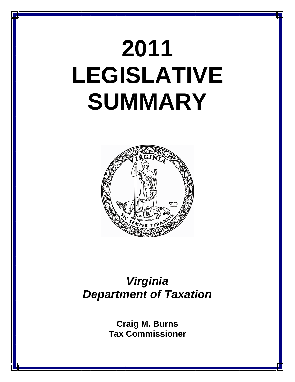# **2011 LEGISLATIVE SUMMARY**



# *Virginia Department of Taxation*

**Craig M. Burns Tax Commissioner**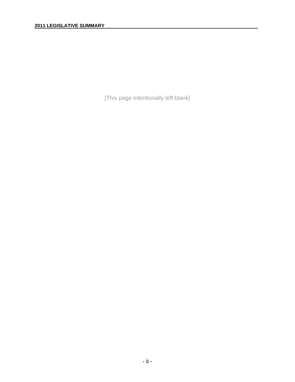[This page intentionally left blank]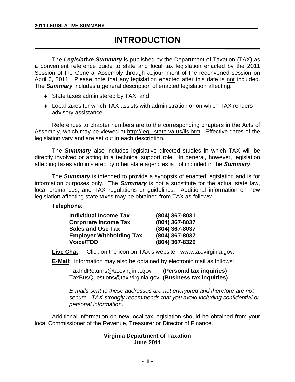# **INTRODUCTION**

The *Legislative Summary* is published by the Department of Taxation (TAX) as a convenient reference guide to state and local tax legislation enacted by the 2011 Session of the General Assembly through adjournment of the reconvened session on April 6, 2011. Please note that any legislation enacted after this date is not included. The *Summary* includes a general description of enacted legislation affecting:

- ♦ State taxes administered by TAX, and
- ♦ Local taxes for which TAX assists with administration or on which TAX renders advisory assistance.

References to chapter numbers are to the corresponding chapters in the Acts of Assembly, which may be viewed at http://leg1.state.va.us/lis.htm. Effective dates of the legislation vary and are set out in each description.

The *Summary* also includes legislative directed studies in which TAX will be directly involved or acting in a technical support role. In general, however, legislation affecting taxes administered by other state agencies is not included in the *Summary*.

The *Summary* is intended to provide a synopsis of enacted legislation and is for information purposes only. The *Summary* is not a substitute for the actual state law, local ordinances, and TAX regulations or guidelines. Additional information on new legislation affecting state taxes may be obtained from TAX as follows:

#### **Telephone**:

| <b>Individual Income Tax</b>    | (804) 367-8031 |
|---------------------------------|----------------|
| <b>Corporate Income Tax</b>     | (804) 367-8037 |
| <b>Sales and Use Tax</b>        | (804) 367-8037 |
| <b>Employer Withholding Tax</b> | (804) 367-8037 |
| <b>Voice/TDD</b>                | (804) 367-8329 |

**Live Chat:** Click on the icon on TAX's website: www.tax.virginia.gov.

**E-Mail**: Information may also be obtained by electronic mail as follows:

| TaxIndReturns@tax.virginia.gov                            | (Personal tax inquiries) |
|-----------------------------------------------------------|--------------------------|
| TaxBusQuestions@tax.virginia.gov (Business tax inquiries) |                          |

*E-mails sent to these addresses are not encrypted and therefore are not secure. TAX strongly recommends that you avoid including confidential or personal information.*

Additional information on new local tax legislation should be obtained from your local Commissioner of the Revenue, Treasurer or Director of Finance.

#### **Virginia Department of Taxation June 2011**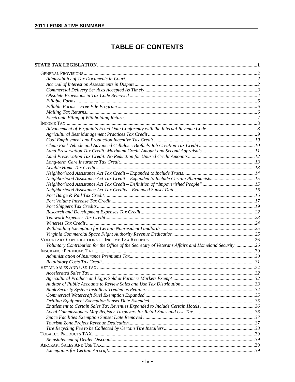# **TABLE OF CONTENTS**

| Neighborhood Assistance Act Tax Credit - Expanded to Include Certain Pharmacists15                  |  |
|-----------------------------------------------------------------------------------------------------|--|
|                                                                                                     |  |
|                                                                                                     |  |
|                                                                                                     |  |
|                                                                                                     |  |
|                                                                                                     |  |
|                                                                                                     |  |
|                                                                                                     |  |
|                                                                                                     |  |
|                                                                                                     |  |
|                                                                                                     |  |
|                                                                                                     |  |
| Voluntary Contribution for the Office of the Secretary of Veterans Affairs and Homeland Security 26 |  |
|                                                                                                     |  |
|                                                                                                     |  |
|                                                                                                     |  |
|                                                                                                     |  |
|                                                                                                     |  |
|                                                                                                     |  |
|                                                                                                     |  |
|                                                                                                     |  |
|                                                                                                     |  |
|                                                                                                     |  |
|                                                                                                     |  |
|                                                                                                     |  |
|                                                                                                     |  |
|                                                                                                     |  |
|                                                                                                     |  |
|                                                                                                     |  |
|                                                                                                     |  |
|                                                                                                     |  |
|                                                                                                     |  |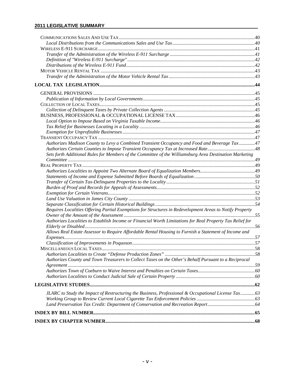#### **2011 LEGISLATIVE SUMMARY**

| Authorizes Madison County to Levy a Combined Transient Occupancy and Food and Beverage Tax47              |  |
|-----------------------------------------------------------------------------------------------------------|--|
|                                                                                                           |  |
| Sets forth Additional Rules for Members of the Committee of the Williamsburg Area Destination Marketing   |  |
|                                                                                                           |  |
|                                                                                                           |  |
|                                                                                                           |  |
|                                                                                                           |  |
|                                                                                                           |  |
|                                                                                                           |  |
|                                                                                                           |  |
|                                                                                                           |  |
| Requires Localities Offering Partial Exemptions for Structures in Redevelopment Areas to Notify Property  |  |
|                                                                                                           |  |
| Authorizes Localities to Establish Income or Financial Worth Limitations for Real Property Tax Relief for |  |
|                                                                                                           |  |
| Allows Real Estate Assessor to Require Affordable Rental Housing to Furnish a Statement of Income and     |  |
|                                                                                                           |  |
|                                                                                                           |  |
|                                                                                                           |  |
|                                                                                                           |  |
| Authorizes County and Town Treasurers to Collect Taxes on the Other's Behalf Pursuant to a Reciprocal     |  |
|                                                                                                           |  |
|                                                                                                           |  |
|                                                                                                           |  |
|                                                                                                           |  |
| JLARC to Study the Impact of Restructuring the Business, Professional & Occupational License Tax63        |  |
|                                                                                                           |  |
|                                                                                                           |  |
|                                                                                                           |  |
|                                                                                                           |  |
|                                                                                                           |  |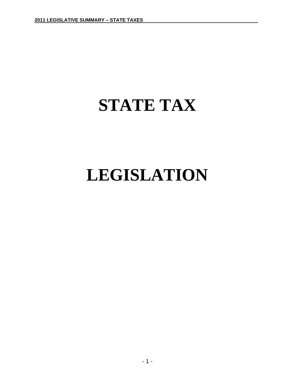# **STATE TAX**

# **LEGISLATION**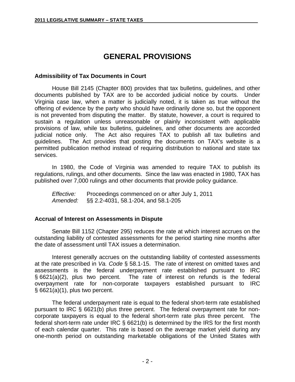# **GENERAL PROVISIONS**

#### **Admissibility of Tax Documents in Court**

House Bill 2145 (Chapter 800) provides that tax bulletins, guidelines, and other documents published by TAX are to be accorded judicial notice by courts. Under Virginia case law, when a matter is judicially noted, it is taken as true without the offering of evidence by the party who should have ordinarily done so, but the opponent is not prevented from disputing the matter. By statute, however, a court is required to sustain a regulation unless unreasonable or plainly inconsistent with applicable provisions of law, while tax bulletins, guidelines, and other documents are accorded judicial notice only. The Act also requires TAX to publish all tax bulletins and guidelines. The Act provides that posting the documents on TAX's website is a permitted publication method instead of requiring distribution to national and state tax services.

In 1980, the Code of Virginia was amended to require TAX to publish its regulations, rulings, and other documents. Since the law was enacted in 1980, TAX has published over 7,000 rulings and other documents that provide policy guidance.

*Effective:* Proceedings commenced on or after July 1, 2011 *Amended:* §§ 2.2-4031, 58.1-204, and 58.1-205

#### **Accrual of Interest on Assessments in Dispute**

Senate Bill 1152 (Chapter 295) reduces the rate at which interest accrues on the outstanding liability of contested assessments for the period starting nine months after the date of assessment until TAX issues a determination.

Interest generally accrues on the outstanding liability of contested assessments at the rate prescribed in *Va. Code* § 58.1-15. The rate of interest on omitted taxes and assessments is the federal underpayment rate established pursuant to IRC § 6621(a)(2), plus two percent. The rate of interest on refunds is the federal overpayment rate for non-corporate taxpayers established pursuant to IRC § 6621(a)(1), plus two percent.

The federal underpayment rate is equal to the federal short-term rate established pursuant to IRC § 6621(b) plus three percent. The federal overpayment rate for noncorporate taxpayers is equal to the federal short-term rate plus three percent. The federal short-term rate under IRC § 6621(b) is determined by the IRS for the first month of each calendar quarter. This rate is based on the average market yield during any one-month period on outstanding marketable obligations of the United States with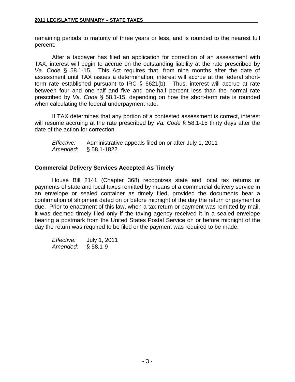remaining periods to maturity of three years or less, and is rounded to the nearest full percent.

After a taxpayer has filed an application for correction of an assessment with TAX, interest will begin to accrue on the outstanding liability at the rate prescribed by *Va. Code* § 58.1-15. This Act requires that, from nine months after the date of assessment until TAX issues a determination, interest will accrue at the federal shortterm rate established pursuant to IRC § 6621(b). Thus, interest will accrue at rate between four and one-half and five and one-half percent less than the normal rate prescribed by *Va. Code* § 58.1-15, depending on how the short-term rate is rounded when calculating the federal underpayment rate.

If TAX determines that any portion of a contested assessment is correct, interest will resume accruing at the rate prescribed by *Va. Code* § 58.1-15 thirty days after the date of the action for correction.

*Effective:* Administrative appeals filed on or after July 1, 2011 *Amended:* § 58.1-1822

#### **Commercial Delivery Services Accepted As Timely**

House Bill 2141 (Chapter 368) recognizes state and local tax returns or payments of state and local taxes remitted by means of a commercial delivery service in an envelope or sealed container as timely filed, provided the documents bear a confirmation of shipment dated on or before midnight of the day the return or payment is due. Prior to enactment of this law, when a tax return or payment was remitted by mail, it was deemed timely filed only if the taxing agency received it in a sealed envelope bearing a postmark from the United States Postal Service on or before midnight of the day the return was required to be filed or the payment was required to be made.

*Effective:* July 1, 2011 *Amended:* § 58.1-9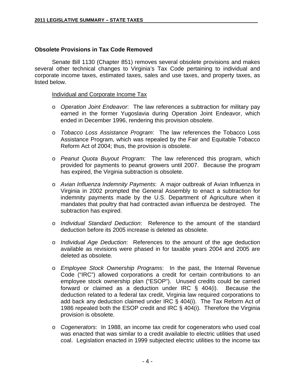#### **Obsolete Provisions in Tax Code Removed**

Senate Bill 1130 (Chapter 851) removes several obsolete provisions and makes several other technical changes to Virginia's Tax Code pertaining to individual and corporate income taxes, estimated taxes, sales and use taxes, and property taxes, as listed below.

#### Individual and Corporate Income Tax

- o *Operation Joint Endeavor*: The law references a subtraction for military pay earned in the former Yugoslavia during Operation Joint Endeavor, which ended in December 1996, rendering this provision obsolete.
- o *Tobacco Loss Assistance Program*: The law references the Tobacco Loss Assistance Program, which was repealed by the Fair and Equitable Tobacco Reform Act of 2004; thus, the provision is obsolete.
- o *Peanut Quota Buyout Program*: The law referenced this program, which provided for payments to peanut growers until 2007. Because the program has expired, the Virginia subtraction is obsolete.
- o *Avian Influenza Indemnity Payments*: A major outbreak of Avian Influenza in Virginia in 2002 prompted the General Assembly to enact a subtraction for indemnity payments made by the U.S. Department of Agriculture when it mandates that poultry that had contracted avian influenza be destroyed. The subtraction has expired.
- o *Individual Standard Deduction*: Reference to the amount of the standard deduction before its 2005 increase is deleted as obsolete.
- o *Individual Age Deduction*: References to the amount of the age deduction available as revisions were phased in for taxable years 2004 and 2005 are deleted as obsolete.
- o *Employee Stock Ownership Programs*: In the past, the Internal Revenue Code ("IRC") allowed corporations a credit for certain contributions to an employee stock ownership plan ("ESOP"). Unused credits could be carried forward or claimed as a deduction under IRC § 404(i). Because the deduction related to a federal tax credit, Virginia law required corporations to add back any deduction claimed under IRC § 404(i). The Tax Reform Act of 1986 repealed both the ESOP credit and IRC § 404(i). Therefore the Virginia provision is obsolete.
- o *Cogenerators*: In 1988, an income tax credit for cogenerators who used coal was enacted that was similar to a credit available to electric utilities that used coal. Legislation enacted in 1999 subjected electric utilities to the income tax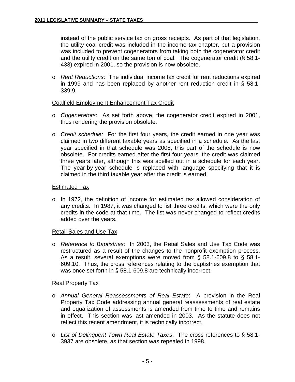instead of the public service tax on gross receipts. As part of that legislation, the utility coal credit was included in the income tax chapter, but a provision was included to prevent cogenerators from taking both the cogenerator credit and the utility credit on the same ton of coal. The cogenerator credit (§ 58.1- 433) expired in 2001, so the provision is now obsolete.

o *Rent Reductions*: The individual income tax credit for rent reductions expired in 1999 and has been replaced by another rent reduction credit in § 58.1- 339.9.

#### Coalfield Employment Enhancement Tax Credit

- o *Cogenerators*: As set forth above, the cogenerator credit expired in 2001, thus rendering the provision obsolete.
- o *Credit schedule:* For the first four years, the credit earned in one year was claimed in two different taxable years as specified in a schedule. As the last year specified in that schedule was 2008, this part of the schedule is now obsolete. For credits earned after the first four years, the credit was claimed three years later, although this was spelled out in a schedule for each year. The year-by-year schedule is replaced with language specifying that it is claimed in the third taxable year after the credit is earned.

#### Estimated Tax

o In 1972, the definition of income for estimated tax allowed consideration of any credits. In 1987, it was changed to list three credits, which were the only credits in the code at that time. The list was never changed to reflect credits added over the years.

#### Retail Sales and Use Tax

o *Reference to Baptistries*: In 2003, the Retail Sales and Use Tax Code was restructured as a result of the changes to the nonprofit exemption process. As a result, several exemptions were moved from § 58.1-609.8 to § 58.1- 609.10. Thus, the cross references relating to the baptistries exemption that was once set forth in § 58.1-609.8 are technically incorrect.

#### **Real Property Tax**

- o *Annual General Reassessments of Real Estate*: A provision in the Real Property Tax Code addressing annual general reassessments of real estate and equalization of assessments is amended from time to time and remains in effect. This section was last amended in 2003. As the statute does not reflect this recent amendment, it is technically incorrect.
- o *List of Delinquent Town Real Estate Taxes*: The cross references to § 58.1- 3937 are obsolete, as that section was repealed in 1998.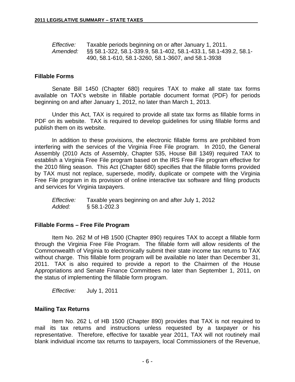*Effective:* Taxable periods beginning on or after January 1, 2011. *Amended:* §§ 58.1-322, 58.1-339.9, 58.1-402, 58.1-433.1, 58.1-439.2, 58.1- 490, 58.1-610, 58.1-3260, 58.1-3607, and 58.1-3938

#### **Fillable Forms**

Senate Bill 1450 (Chapter 680) requires TAX to make all state tax forms available on TAX's website in fillable portable document format (PDF) for periods beginning on and after January 1, 2012, no later than March 1, 2013.

Under this Act, TAX is required to provide all state tax forms as fillable forms in PDF on its website. TAX is required to develop guidelines for using fillable forms and publish them on its website.

In addition to these provisions, the electronic fillable forms are prohibited from interfering with the services of the Virginia Free File program. In 2010, the General Assembly (2010 Acts of Assembly, Chapter 535, House Bill 1349) required TAX to establish a Virginia Free File program based on the IRS Free File program effective for the 2010 filing season. This Act (Chapter 680) specifies that the fillable forms provided by TAX must not replace, supersede, modify, duplicate or compete with the Virginia Free File program in its provision of online interactive tax software and filing products and services for Virginia taxpayers.

*Effective:* Taxable years beginning on and after July 1, 2012 *Added:* § 58.1-202.3

#### **Fillable Forms – Free File Program**

Item No. 262 M of HB 1500 (Chapter 890) requires TAX to accept a fillable form through the Virginia Free File Program. The fillable form will allow residents of the Commonwealth of Virginia to electronically submit their state income tax returns to TAX without charge. This fillable form program will be available no later than December 31, 2011. TAX is also required to provide a report to the Chairmen of the House Appropriations and Senate Finance Committees no later than September 1, 2011, on the status of implementing the fillable form program.

*Effective:* July 1, 2011

#### **Mailing Tax Returns**

Item No. 262 L of HB 1500 (Chapter 890) provides that TAX is not required to mail its tax returns and instructions unless requested by a taxpayer or his representative. Therefore, effective for taxable year 2011, TAX will not routinely mail blank individual income tax returns to taxpayers, local Commissioners of the Revenue,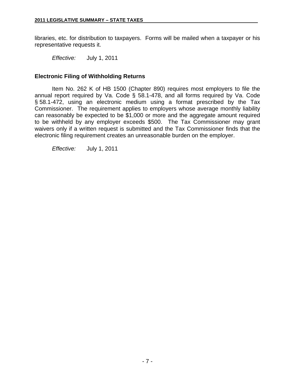libraries, etc. for distribution to taxpayers. Forms will be mailed when a taxpayer or his representative requests it.

*Effective:* July 1, 2011

#### **Electronic Filing of Withholding Returns**

Item No. 262 K of HB 1500 (Chapter 890) requires most employers to file the annual report required by Va. Code § 58.1-478, and all forms required by Va. Code § 58.1-472, using an electronic medium using a format prescribed by the Tax Commissioner. The requirement applies to employers whose average monthly liability can reasonably be expected to be \$1,000 or more and the aggregate amount required to be withheld by any employer exceeds \$500. The Tax Commissioner may grant waivers only if a written request is submitted and the Tax Commissioner finds that the electronic filing requirement creates an unreasonable burden on the employer.

*Effective:* July 1, 2011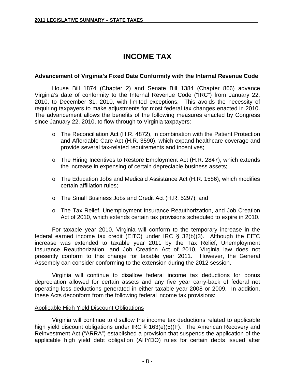# **INCOME TAX**

#### **Advancement of Virginia's Fixed Date Conformity with the Internal Revenue Code**

House Bill 1874 (Chapter 2) and Senate Bill 1384 (Chapter 866) advance Virginia's date of conformity to the Internal Revenue Code ("IRC") from January 22, 2010, to December 31, 2010, with limited exceptions. This avoids the necessity of requiring taxpayers to make adjustments for most federal tax changes enacted in 2010. The advancement allows the benefits of the following measures enacted by Congress since January 22, 2010, to flow through to Virginia taxpayers:

- o The Reconciliation Act (H.R. 4872), in combination with the Patient Protection and Affordable Care Act (H.R. 3590), which expand healthcare coverage and provide several tax-related requirements and incentives;
- o The Hiring Incentives to Restore Employment Act (H.R. 2847), which extends the increase in expensing of certain depreciable business assets;
- o The Education Jobs and Medicaid Assistance Act (H.R. 1586), which modifies certain affiliation rules;
- o The Small Business Jobs and Credit Act (H.R. 5297); and
- o The Tax Relief, Unemployment Insurance Reauthorization, and Job Creation Act of 2010, which extends certain tax provisions scheduled to expire in 2010.

For taxable year 2010, Virginia will conform to the temporary increase in the federal earned income tax credit (EITC) under IRC § 32(b)(3). Although the EITC increase was extended to taxable year 2011 by the Tax Relief, Unemployment Insurance Reauthorization, and Job Creation Act of 2010, Virginia law does not presently conform to this change for taxable year 2011. However, the General Assembly can consider conforming to the extension during the 2012 session.

Virginia will continue to disallow federal income tax deductions for bonus depreciation allowed for certain assets and any five year carry-back of federal net operating loss deductions generated in either taxable year 2008 or 2009. In addition, these Acts deconform from the following federal income tax provisions:

#### Applicable High Yield Discount Obligations

Virginia will continue to disallow the income tax deductions related to applicable high yield discount obligations under IRC § 163(e)(5)(F). The American Recovery and Reinvestment Act ("ARRA") established a provision that suspends the application of the applicable high yield debt obligation (AHYDO) rules for certain debts issued after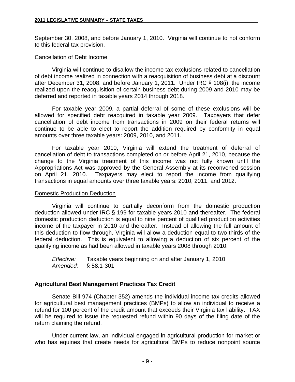September 30, 2008, and before January 1, 2010. Virginia will continue to not conform to this federal tax provision.

#### Cancellation of Debt Income

Virginia will continue to disallow the income tax exclusions related to cancellation of debt income realized in connection with a reacquisition of business debt at a discount after December 31, 2008, and before January 1, 2011. Under IRC § 108(i), the income realized upon the reacquisition of certain business debt during 2009 and 2010 may be deferred and reported in taxable years 2014 through 2018.

For taxable year 2009, a partial deferral of some of these exclusions will be allowed for specified debt reacquired in taxable year 2009. Taxpayers that defer cancellation of debt income from transactions in 2009 on their federal returns will continue to be able to elect to report the addition required by conformity in equal amounts over three taxable years: 2009, 2010, and 2011.

For taxable year 2010, Virginia will extend the treatment of deferral of cancellation of debt to transactions completed on or before April 21, 2010, because the change to the Virginia treatment of this income was not fully known until the Appropriations Act was approved by the General Assembly at its reconvened session on April 21, 2010. Taxpayers may elect to report the income from qualifying transactions in equal amounts over three taxable years: 2010, 2011, and 2012.

#### Domestic Production Deduction

Virginia will continue to partially deconform from the domestic production deduction allowed under IRC § 199 for taxable years 2010 and thereafter. The federal domestic production deduction is equal to nine percent of qualified production activities income of the taxpayer in 2010 and thereafter. Instead of allowing the full amount of this deduction to flow through, Virginia will allow a deduction equal to two-thirds of the federal deduction. This is equivalent to allowing a deduction of six percent of the qualifying income as had been allowed in taxable years 2008 through 2010.

*Effective:* Taxable years beginning on and after January 1, 2010 *Amended:* § 58.1-301

#### **Agricultural Best Management Practices Tax Credit**

Senate Bill 974 (Chapter 352) amends the individual income tax credits allowed for agricultural best management practices (BMPs) to allow an individual to receive a refund for 100 percent of the credit amount that exceeds their Virginia tax liability. TAX will be required to issue the requested refund within 90 days of the filing date of the return claiming the refund.

Under current law, an individual engaged in agricultural production for market or who has equines that create needs for agricultural BMPs to reduce nonpoint source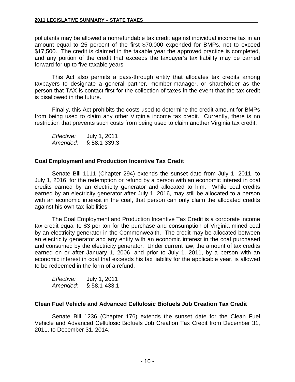#### **2011 LEGISLATIVE SUMMARY – STATE TAXES**

pollutants may be allowed a nonrefundable tax credit against individual income tax in an amount equal to 25 percent of the first \$70,000 expended for BMPs, not to exceed \$17,500. The credit is claimed in the taxable year the approved practice is completed, and any portion of the credit that exceeds the taxpayer's tax liability may be carried forward for up to five taxable years.

This Act also permits a pass-through entity that allocates tax credits among taxpayers to designate a general partner, member-manager, or shareholder as the person that TAX is contact first for the collection of taxes in the event that the tax credit is disallowed in the future.

Finally, this Act prohibits the costs used to determine the credit amount for BMPs from being used to claim any other Virginia income tax credit. Currently, there is no restriction that prevents such costs from being used to claim another Virginia tax credit.

| Effective: | July 1, 2011   |
|------------|----------------|
| Amended:   | $§$ 58.1-339.3 |

#### **Coal Employment and Production Incentive Tax Credit**

Senate Bill 1111 (Chapter 294) extends the sunset date from July 1, 2011, to July 1, 2016, for the redemption or refund by a person with an economic interest in coal credits earned by an electricity generator and allocated to him. While coal credits earned by an electricity generator after July 1, 2016, may still be allocated to a person with an economic interest in the coal, that person can only claim the allocated credits against his own tax liabilities.

The Coal Employment and Production Incentive Tax Credit is a corporate income tax credit equal to \$3 per ton for the purchase and consumption of Virginia mined coal by an electricity generator in the Commonwealth. The credit may be allocated between an electricity generator and any entity with an economic interest in the coal purchased and consumed by the electricity generator. Under current law, the amount of tax credits earned on or after January 1, 2006, and prior to July 1, 2011, by a person with an economic interest in coal that exceeds his tax liability for the applicable year, is allowed to be redeemed in the form of a refund.

| Effective: | July 1, 2011   |
|------------|----------------|
| Amended:   | $§$ 58.1-433.1 |

#### **Clean Fuel Vehicle and Advanced Cellulosic Biofuels Job Creation Tax Credit**

Senate Bill 1236 (Chapter 176) extends the sunset date for the Clean Fuel Vehicle and Advanced Cellulosic Biofuels Job Creation Tax Credit from December 31, 2011, to December 31, 2014.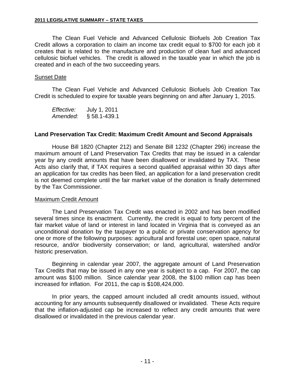The Clean Fuel Vehicle and Advanced Cellulosic Biofuels Job Creation Tax Credit allows a corporation to claim an income tax credit equal to \$700 for each job it creates that is related to the manufacture and production of clean fuel and advanced cellulosic biofuel vehicles. The credit is allowed in the taxable year in which the job is created and in each of the two succeeding years.

#### Sunset Date

The Clean Fuel Vehicle and Advanced Cellulosic Biofuels Job Creation Tax Credit is scheduled to expire for taxable years beginning on and after January 1, 2015.

*Effective:* July 1, 2011 *Amended:* § 58.1-439.1

#### **Land Preservation Tax Credit: Maximum Credit Amount and Second Appraisals**

House Bill 1820 (Chapter 212) and Senate Bill 1232 (Chapter 296) increase the maximum amount of Land Preservation Tax Credits that may be issued in a calendar year by any credit amounts that have been disallowed or invalidated by TAX. These Acts also clarify that, if TAX requires a second qualified appraisal within 30 days after an application for tax credits has been filed, an application for a land preservation credit is not deemed complete until the fair market value of the donation is finally determined by the Tax Commissioner.

#### Maximum Credit Amount

The Land Preservation Tax Credit was enacted in 2002 and has been modified several times since its enactment. Currently, the credit is equal to forty percent of the fair market value of land or interest in land located in Virginia that is conveyed as an unconditional donation by the taxpayer to a public or private conservation agency for one or more of the following purposes: agricultural and forestal use; open space, natural resource, and/or biodiversity conservation; or land, agricultural, watershed and/or historic preservation.

Beginning in calendar year 2007, the aggregate amount of Land Preservation Tax Credits that may be issued in any one year is subject to a cap. For 2007, the cap amount was \$100 million. Since calendar year 2008, the \$100 million cap has been increased for inflation. For 2011, the cap is \$108,424,000.

In prior years, the capped amount included all credit amounts issued, without accounting for any amounts subsequently disallowed or invalidated. These Acts require that the inflation-adjusted cap be increased to reflect any credit amounts that were disallowed or invalidated in the previous calendar year.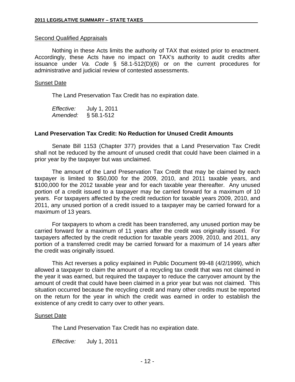#### Second Qualified Appraisals

Nothing in these Acts limits the authority of TAX that existed prior to enactment. Accordingly, these Acts have no impact on TAX's authority to audit credits after issuance under *Va. Code* § 58.1-512(D)(6) or on the current procedures for administrative and judicial review of contested assessments.

#### Sunset Date

The Land Preservation Tax Credit has no expiration date.

*Effective:* July 1, 2011 *Amended:* § 58.1-512

#### **Land Preservation Tax Credit: No Reduction for Unused Credit Amounts**

Senate Bill 1153 (Chapter 377) provides that a Land Preservation Tax Credit shall not be reduced by the amount of unused credit that could have been claimed in a prior year by the taxpayer but was unclaimed.

The amount of the Land Preservation Tax Credit that may be claimed by each taxpayer is limited to \$50,000 for the 2009, 2010, and 2011 taxable years, and \$100,000 for the 2012 taxable year and for each taxable year thereafter. Any unused portion of a credit issued to a taxpayer may be carried forward for a maximum of 10 years. For taxpayers affected by the credit reduction for taxable years 2009, 2010, and 2011, any unused portion of a credit issued to a taxpayer may be carried forward for a maximum of 13 years.

For taxpayers to whom a credit has been transferred, any unused portion may be carried forward for a maximum of 11 years after the credit was originally issued. For taxpayers affected by the credit reduction for taxable years 2009, 2010, and 2011, any portion of a transferred credit may be carried forward for a maximum of 14 years after the credit was originally issued.

This Act reverses a policy explained in Public Document 99-48 (4/2/1999), which allowed a taxpayer to claim the amount of a recycling tax credit that was not claimed in the year it was earned, but required the taxpayer to reduce the carryover amount by the amount of credit that could have been claimed in a prior year but was not claimed. This situation occurred because the recycling credit and many other credits must be reported on the return for the year in which the credit was earned in order to establish the existence of any credit to carry over to other years.

#### **Sunset Date**

The Land Preservation Tax Credit has no expiration date.

*Effective:* July 1, 2011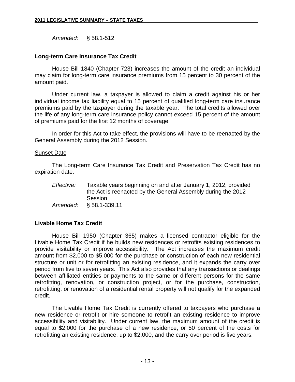*Amended:* § 58.1-512

#### **Long-term Care Insurance Tax Credit**

House Bill 1840 (Chapter 723) increases the amount of the credit an individual may claim for long-term care insurance premiums from 15 percent to 30 percent of the amount paid.

Under current law, a taxpayer is allowed to claim a credit against his or her individual income tax liability equal to 15 percent of qualified long-term care insurance premiums paid by the taxpayer during the taxable year. The total credits allowed over the life of any long-term care insurance policy cannot exceed 15 percent of the amount of premiums paid for the first 12 months of coverage.

In order for this Act to take effect, the provisions will have to be reenacted by the General Assembly during the 2012 Session.

#### Sunset Date

The Long-term Care Insurance Tax Credit and Preservation Tax Credit has no expiration date.

*Effective:* Taxable years beginning on and after January 1, 2012, provided the Act is reenacted by the General Assembly during the 2012 **Session** *Amended:* § 58.1-339.11

#### **Livable Home Tax Credit**

House Bill 1950 (Chapter 365) makes a licensed contractor eligible for the Livable Home Tax Credit if he builds new residences or retrofits existing residences to provide visitability or improve accessibility. The Act increases the maximum credit amount from \$2,000 to \$5,000 for the purchase or construction of each new residential structure or unit or for retrofitting an existing residence, and it expands the carry over period from five to seven years. This Act also provides that any transactions or dealings between affiliated entities or payments to the same or different persons for the same retrofitting, renovation, or construction project, or for the purchase, construction, retrofitting, or renovation of a residential rental property will not qualify for the expanded credit.

The Livable Home Tax Credit is currently offered to taxpayers who purchase a new residence or retrofit or hire someone to retrofit an existing residence to improve accessibility and visitability. Under current law, the maximum amount of the credit is equal to \$2,000 for the purchase of a new residence, or 50 percent of the costs for retrofitting an existing residence, up to \$2,000, and the carry over period is five years.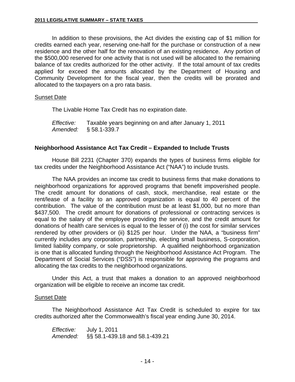In addition to these provisions, the Act divides the existing cap of \$1 million for credits earned each year, reserving one-half for the purchase or construction of a new residence and the other half for the renovation of an existing residence. Any portion of the \$500,000 reserved for one activity that is not used will be allocated to the remaining balance of tax credits authorized for the other activity. If the total amount of tax credits applied for exceed the amounts allocated by the Department of Housing and Community Development for the fiscal year, then the credits will be prorated and allocated to the taxpayers on a pro rata basis.

#### Sunset Date

The Livable Home Tax Credit has no expiration date.

*Effective:* Taxable years beginning on and after January 1, 2011 *Amended:* § 58.1-339.7

#### **Neighborhood Assistance Act Tax Credit – Expanded to Include Trusts**

House Bill 2231 (Chapter 370) expands the types of business firms eligible for tax credits under the Neighborhood Assistance Act ("NAA") to include trusts.

The NAA provides an income tax credit to business firms that make donations to neighborhood organizations for approved programs that benefit impoverished people. The credit amount for donations of cash, stock, merchandise, real estate or the rent/lease of a facility to an approved organization is equal to 40 percent of the contribution. The value of the contribution must be at least \$1,000, but no more than \$437,500. The credit amount for donations of professional or contracting services is equal to the salary of the employee providing the service, and the credit amount for donations of health care services is equal to the lesser of (i) the cost for similar services rendered by other providers or (ii) \$125 per hour. Under the NAA, a "business firm" currently includes any corporation, partnership, electing small business, S-corporation, limited liability company, or sole proprietorship. A qualified neighborhood organization is one that is allocated funding through the Neighborhood Assistance Act Program. The Department of Social Services ("DSS") is responsible for approving the programs and allocating the tax credits to the neighborhood organizations.

Under this Act, a trust that makes a donation to an approved neighborhood organization will be eligible to receive an income tax credit.

#### Sunset Date

The Neighborhood Assistance Act Tax Credit is scheduled to expire for tax credits authorized after the Commonwealth's fiscal year ending June 30, 2014.

*Effective:* July 1, 2011 *Amended:* §§ 58.1-439.18 and 58.1-439.21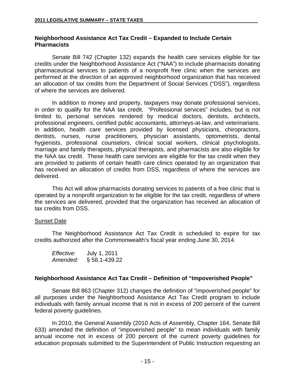#### **Neighborhood Assistance Act Tax Credit – Expanded to Include Certain Pharmacists**

Senate Bill 742 (Chapter 132) expands the health care services eligible for tax credits under the Neighborhood Assistance Act ("NAA") to include pharmacists donating pharmaceutical services to patients of a nonprofit free clinic when the services are performed at the direction of an approved neighborhood organization that has received an allocation of tax credits from the Department of Social Services ("DSS"), regardless of where the services are delivered.

In addition to money and property, taxpayers may donate professional services, in order to qualify for the NAA tax credit. "Professional services" includes, but is not limited to, personal services rendered by medical doctors, dentists, architects, professional engineers, certified public accountants, attorneys-at-law, and veterinarians. In addition, health care services provided by licensed physicians, chiropractors, dentists, nurses, nurse practitioners, physician assistants, optometrists, dental hygienists, professional counselors, clinical social workers, clinical psychologists, marriage and family therapists, physical therapists, and pharmacists are also eligible for the NAA tax credit. These health care services are eligible for the tax credit when they are provided to patients of certain health care clinics operated by an organization that has received an allocation of credits from DSS, regardless of where the services are delivered.

This Act will allow pharmacists donating services to patients of a free clinic that is operated by a nonprofit organization to be eligible for the tax credit, regardless of where the services are delivered, provided that the organization has received an allocation of tax credits from DSS.

#### Sunset Date

The Neighborhood Assistance Act Tax Credit is scheduled to expire for tax credits authorized after the Commonwealth's fiscal year ending June 30, 2014.

| Effective: | July 1, 2011      |
|------------|-------------------|
| Amended:   | $§ 58.1 - 439.22$ |

#### **Neighborhood Assistance Act Tax Credit – Definition of "Impoverished People"**

Senate Bill 863 (Chapter 312) changes the definition of "impoverished people" for all purposes under the Neighborhood Assistance Act Tax Credit program to include individuals with family annual income that is not in excess of 200 percent of the current federal poverty guidelines.

In 2010, the General Assembly (2010 Acts of Assembly, Chapter 164, Senate Bill 633) amended the definition of "impoverished people" to mean individuals with family annual income not in excess of 200 percent of the current poverty guidelines for education proposals submitted to the Superintendent of Public Instruction requesting an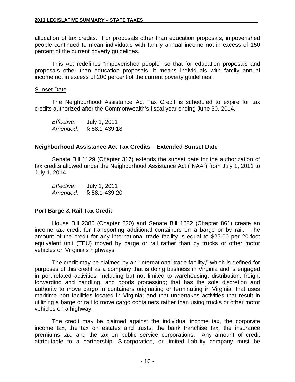allocation of tax credits. For proposals other than education proposals, impoverished people continued to mean individuals with family annual income not in excess of 150 percent of the current poverty guidelines.

This Act redefines "impoverished people" so that for education proposals and proposals other than education proposals, it means individuals with family annual income not in excess of 200 percent of the current poverty guidelines.

#### Sunset Date

The Neighborhood Assistance Act Tax Credit is scheduled to expire for tax credits authorized after the Commonwealth's fiscal year ending June 30, 2014.

| Effective: | July 1, 2011     |
|------------|------------------|
| Amended:   | $\S$ 58.1-439.18 |

#### **Neighborhood Assistance Act Tax Credits – Extended Sunset Date**

Senate Bill 1129 (Chapter 317) extends the sunset date for the authorization of tax credits allowed under the Neighborhood Assistance Act ("NAA") from July 1, 2011 to July 1, 2014.

*Effective:* July 1, 2011 *Amended:* § 58.1-439.20

#### **Port Barge & Rail Tax Credit**

House Bill 2385 (Chapter 820) and Senate Bill 1282 (Chapter 861) create an income tax credit for transporting additional containers on a barge or by rail. The amount of the credit for any international trade facility is equal to \$25.00 per 20-foot equivalent unit (TEU) moved by barge or rail rather than by trucks or other motor vehicles on Virginia's highways.

The credit may be claimed by an "international trade facility," which is defined for purposes of this credit as a company that is doing business in Virginia and is engaged in port-related activities, including but not limited to warehousing, distribution, freight forwarding and handling, and goods processing; that has the sole discretion and authority to move cargo in containers originating or terminating in Virginia; that uses maritime port facilities located in Virginia; and that undertakes activities that result in utilizing a barge or rail to move cargo containers rather than using trucks or other motor vehicles on a highway.

The credit may be claimed against the individual income tax, the corporate income tax, the tax on estates and trusts, the bank franchise tax, the insurance premiums tax, and the tax on public service corporations. Any amount of credit attributable to a partnership, S-corporation, or limited liability company must be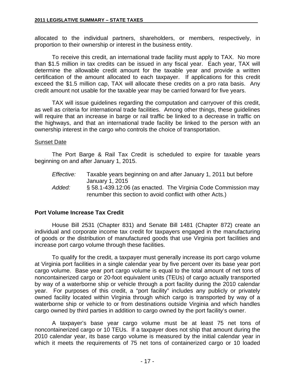allocated to the individual partners, shareholders, or members, respectively, in proportion to their ownership or interest in the business entity.

To receive this credit, an international trade facility must apply to TAX. No more than \$1.5 million in tax credits can be issued in any fiscal year. Each year, TAX will determine the allowable credit amount for the taxable year and provide a written certification of the amount allocated to each taxpayer. If applications for this credit exceed the \$1.5 million cap, TAX will allocate these credits on a pro rata basis. Any credit amount not usable for the taxable year may be carried forward for five years.

TAX will issue guidelines regarding the computation and carryover of this credit, as well as criteria for international trade facilities. Among other things, these guidelines will require that an increase in barge or rail traffic be linked to a decrease in traffic on the highways, and that an international trade facility be linked to the person with an ownership interest in the cargo who controls the choice of transportation.

#### Sunset Date

The Port Barge & Rail Tax Credit is scheduled to expire for taxable years beginning on and after January 1, 2015.

*Effective:* Taxable years beginning on and after January 1, 2011 but before January 1, 2015 *Added:* § 58.1-439.12:06 (as enacted. The Virginia Code Commission may renumber this section to avoid conflict with other Acts.)

#### **Port Volume Increase Tax Credit**

House Bill 2531 (Chapter 831) and Senate Bill 1481 (Chapter 872) create an individual and corporate income tax credit for taxpayers engaged in the manufacturing of goods or the distribution of manufactured goods that use Virginia port facilities and increase port cargo volume through these facilities.

To qualify for the credit, a taxpayer must generally increase its port cargo volume at Virginia port facilities in a single calendar year by five percent over its base year port cargo volume. Base year port cargo volume is equal to the total amount of net tons of noncontainerized cargo or 20-foot equivalent units (TEUs) of cargo actually transported by way of a waterborne ship or vehicle through a port facility during the 2010 calendar year. For purposes of this credit, a "port facility" includes any publicly or privately owned facility located within Virginia through which cargo is transported by way of a waterborne ship or vehicle to or from destinations outside Virginia and which handles cargo owned by third parties in addition to cargo owned by the port facility's owner.

A taxpayer's base year cargo volume must be at least 75 net tons of noncontainerized cargo or 10 TEUs. If a taxpayer does not ship that amount during the 2010 calendar year, its base cargo volume is measured by the initial calendar year in which it meets the requirements of 75 net tons of containerized cargo or 10 loaded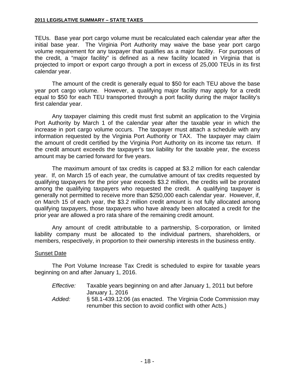TEUs. Base year port cargo volume must be recalculated each calendar year after the initial base year. The Virginia Port Authority may waive the base year port cargo volume requirement for any taxpayer that qualifies as a major facility. For purposes of the credit, a "major facility" is defined as a new facility located in Virginia that is projected to import or export cargo through a port in excess of 25,000 TEUs in its first calendar year.

The amount of the credit is generally equal to \$50 for each TEU above the base year port cargo volume. However, a qualifying major facility may apply for a credit equal to \$50 for each TEU transported through a port facility during the major facility's first calendar year.

Any taxpayer claiming this credit must first submit an application to the Virginia Port Authority by March 1 of the calendar year after the taxable year in which the increase in port cargo volume occurs. The taxpayer must attach a schedule with any information requested by the Virginia Port Authority or TAX. The taxpayer may claim the amount of credit certified by the Virginia Port Authority on its income tax return. If the credit amount exceeds the taxpayer's tax liability for the taxable year, the excess amount may be carried forward for five years.

The maximum amount of tax credits is capped at \$3.2 million for each calendar year. If, on March 15 of each year, the cumulative amount of tax credits requested by qualifying taxpayers for the prior year exceeds \$3.2 million, the credits will be prorated among the qualifying taxpayers who requested the credit. A qualifying taxpayer is generally not permitted to receive more than \$250,000 each calendar year. However, if, on March 15 of each year, the \$3.2 million credit amount is not fully allocated among qualifying taxpayers, those taxpayers who have already been allocated a credit for the prior year are allowed a pro rata share of the remaining credit amount.

Any amount of credit attributable to a partnership, S-corporation, or limited liability company must be allocated to the individual partners, shareholders, or members, respectively, in proportion to their ownership interests in the business entity.

#### **Sunset Date**

The Port Volume Increase Tax Credit is scheduled to expire for taxable years beginning on and after January 1, 2016.

- *Effective:* Taxable years beginning on and after January 1, 2011 but before January 1, 2016
- *Added:* § 58.1-439.12:06 (as enacted. The Virginia Code Commission may renumber this section to avoid conflict with other Acts.)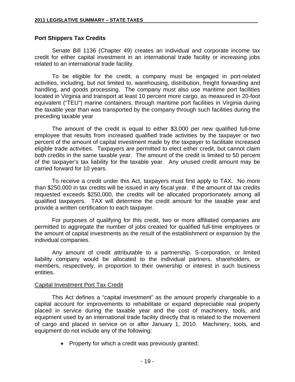#### **Port Shippers Tax Credits**

Senate Bill 1136 (Chapter 49) creates an individual and corporate income tax credit for either capital investment in an international trade facility or increasing jobs related to an international trade facility.

To be eligible for the credit, a company must be engaged in port-related activities, including, but not limited to, warehousing, distribution, freight forwarding and handling, and goods processing. The company must also use maritime port facilities located in Virginia and transport at least 10 percent more cargo, as measured in 20-foot equivalent ("TEU") marine containers, through maritime port facilities in Virginia during the taxable year than was transported by the company through such facilities during the preceding taxable year

The amount of the credit is equal to either \$3,000 per new qualified full-time employee that results from increased qualified trade activities by the taxpayer or two percent of the amount of capital investment made by the taxpayer to facilitate increased eligible trade activities. Taxpayers are permitted to elect either credit, but cannot claim both credits in the same taxable year. The amount of the credit is limited to 50 percent of the taxpayer's tax liability for the taxable year. Any unused credit amount may be carried forward for 10 years.

To receive a credit under this Act, taxpayers must first apply to TAX. No more than \$250,000 in tax credits will be issued in any fiscal year. If the amount of tax credits requested exceeds \$250,000, the credits will be allocated proportionately among all qualified taxpayers. TAX will determine the credit amount for the taxable year and provide a written certification to each taxpayer.

For purposes of qualifying for this credit, two or more affiliated companies are permitted to aggregate the number of jobs created for qualified full-time employees or the amount of capital investments as the result of the establishment or expansion by the individual companies.

Any amount of credit attributable to a partnership, S-corporation, or limited liability company would be allocated to the individual partners, shareholders, or members, respectively, in proportion to their ownership or interest in such business entities.

#### Capital Investment Port Tax Credit

This Act defines a "capital investment" as the amount properly chargeable to a capital account for improvements to rehabilitate or expand depreciable real property placed in service during the taxable year and the cost of machinery, tools, and equipment used by an international trade facility directly that is related to the movement of cargo and placed in service on or after January 1, 2010. Machinery, tools, and equipment do not include any of the following:

• Property for which a credit was previously granted;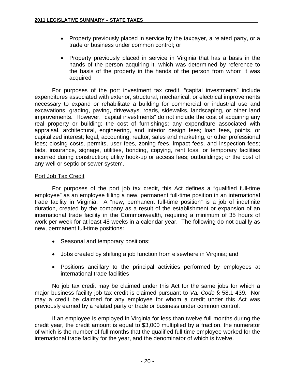- Property previously placed in service by the taxpayer, a related party, or a trade or business under common control; or
- Property previously placed in service in Virginia that has a basis in the hands of the person acquiring it, which was determined by reference to the basis of the property in the hands of the person from whom it was acquired

For purposes of the port investment tax credit, "capital investments" include expenditures associated with exterior, structural, mechanical, or electrical improvements necessary to expand or rehabilitate a building for commercial or industrial use and excavations, grading, paving, driveways, roads, sidewalks, landscaping, or other land improvements. However, "capital investments" do not include the cost of acquiring any real property or building; the cost of furnishings; any expenditure associated with appraisal, architectural, engineering, and interior design fees; loan fees, points, or capitalized interest; legal, accounting, realtor, sales and marketing, or other professional fees; closing costs, permits, user fees, zoning fees, impact fees, and inspection fees; bids, insurance, signage, utilities, bonding, copying, rent loss, or temporary facilities incurred during construction; utility hook-up or access fees; outbuildings; or the cost of any well or septic or sewer system.

#### Port Job Tax Credit

 For purposes of the port job tax credit, this Act defines a "qualified full-time employee" as an employee filling a new, permanent full-time position in an international trade facility in Virginia. A "new, permanent full-time position" is a job of indefinite duration, created by the company as a result of the establishment or expansion of an international trade facility in the Commonwealth, requiring a minimum of 35 hours of work per week for at least 48 weeks in a calendar year. The following do not qualify as new, permanent full-time positions:

- Seasonal and temporary positions;
- Jobs created by shifting a job function from elsewhere in Virginia; and
- Positions ancillary to the principal activities performed by employees at international trade facilities

No job tax credit may be claimed under this Act for the same jobs for which a major business facility job tax credit is claimed pursuant to *Va. Code* § 58.1-439. Nor may a credit be claimed for any employee for whom a credit under this Act was previously earned by a related party or trade or business under common control.

If an employee is employed in Virginia for less than twelve full months during the credit year, the credit amount is equal to \$3,000 multiplied by a fraction, the numerator of which is the number of full months that the qualified full time employee worked for the international trade facility for the year, and the denominator of which is twelve.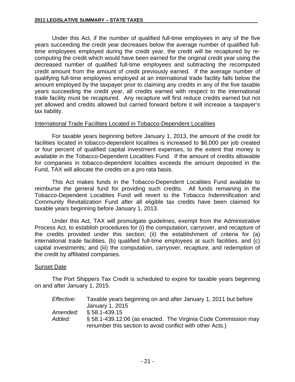Under this Act, if the number of qualified full-time employees in any of the five years succeeding the credit year decreases below the average number of qualified fulltime employees employed during the credit year, the credit will be recaptured by recomputing the credit which would have been earned for the original credit year using the decreased number of qualified full-time employees and subtracting the recomputed credit amount from the amount of credit previously earned. If the average number of qualifying full-time employees employed at an international trade facility falls below the amount employed by the taxpayer prior to claiming any credits in any of the five taxable years succeeding the credit year, all credits earned with respect to the international trade facility must be recaptured. Any recapture will first reduce credits earned but not yet allowed and credits allowed but carried forward before it will increase a taxpayer's tax liability.

#### International Trade Facilities Located in Tobacco-Dependent Localities

 For taxable years beginning before January 1, 2013, the amount of the credit for facilities located in tobacco-dependent localities is increased to \$6,000 per job created or four percent of qualified capital investment expenses, to the extent that money is available in the Tobacco-Dependent Localities Fund. If the amount of credits allowable for companies in tobacco-dependent localities exceeds the amount deposited in the Fund, TAX will allocate the credits on a pro rata basis.

 This Act makes funds in the Tobacco-Dependent Localities Fund available to reimburse the general fund for providing such credits. All funds remaining in the Tobacco-Dependent Localities Fund will revert to the Tobacco Indemnification and Community Revitalization Fund after all eligible tax credits have been claimed for taxable years beginning before January 1, 2013.

Under this Act, TAX will promulgate guidelines, exempt from the Administrative Process Act, to establish procedures for (i) the computation, carryover, and recapture of the credits provided under this section; (ii) the establishment of criteria for (a) international trade facilities, (b) qualified full-time employees at such facilities, and (c) capital investments; and (iii) the computation, carryover, recapture, and redemption of the credit by affiliated companies*.* 

#### Sunset Date

The Port Shippers Tax Credit is scheduled to expire for taxable years beginning on and after January 1, 2015.

| <i>Effective:</i> | Taxable years beginning on and after January 1, 2011 but before<br>January 1, 2015 |
|-------------------|------------------------------------------------------------------------------------|
| Amended:          | S 58.1-439.15                                                                      |
| Added:            | § 58.1-439.12:06 (as enacted. The Virginia Code Commission may                     |
|                   | renumber this section to avoid conflict with other Acts.)                          |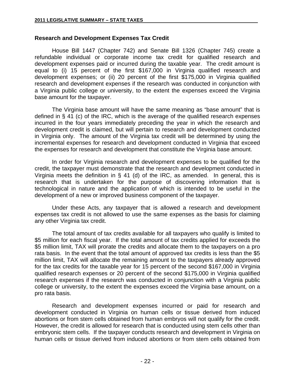#### **Research and Development Expenses Tax Credit**

House Bill 1447 (Chapter 742) and Senate Bill 1326 (Chapter 745) create a refundable individual or corporate income tax credit for qualified research and development expenses paid or incurred during the taxable year. The credit amount is equal to (i) 15 percent of the first \$167,000 in Virginia qualified research and development expenses; or (ii) 20 percent of the first \$175,000 in Virginia qualified research and development expenses if the research was conducted in conjunction with a Virginia public college or university, to the extent the expenses exceed the Virginia base amount for the taxpayer.

The Virginia base amount will have the same meaning as "base amount" that is defined in  $\S$  41 (c) of the IRC, which is the average of the qualified research expenses incurred in the four years immediately preceding the year in which the research and development credit is claimed, but will pertain to research and development conducted in Virginia only. The amount of the Virginia tax credit will be determined by using the incremental expenses for research and development conducted in Virginia that exceed the expenses for research and development that constitute the Virginia base amount.

In order for Virginia research and development expenses to be qualified for the credit, the taxpayer must demonstrate that the research and development conducted in Virginia meets the definition in § 41 (d) of the IRC, as amended. In general, this is research that is undertaken for the purpose of discovering information that is technological in nature and the application of which is intended to be useful in the development of a new or improved business component of the taxpayer.

Under these Acts, any taxpayer that is allowed a research and development expenses tax credit is not allowed to use the same expenses as the basis for claiming any other Virginia tax credit.

The total amount of tax credits available for all taxpayers who qualify is limited to \$5 million for each fiscal year. If the total amount of tax credits applied for exceeds the \$5 million limit, TAX will prorate the credits and allocate them to the taxpayers on a pro rata basis. In the event that the total amount of approved tax credits is less than the \$5 million limit, TAX will allocate the remaining amount to the taxpayers already approved for the tax credits for the taxable year for 15 percent of the second \$167,000 in Virginia qualified research expenses or 20 percent of the second \$175,000 in Virginia qualified research expenses if the research was conducted in conjunction with a Virginia public college or university, to the extent the expenses exceed the Virginia base amount, on a pro rata basis.

Research and development expenses incurred or paid for research and development conducted in Virginia on human cells or tissue derived from induced abortions or from stem cells obtained from human embryos will not qualify for the credit. However, the credit is allowed for research that is conducted using stem cells other than embryonic stem cells. If the taxpayer conducts research and development in Virginia on human cells or tissue derived from induced abortions or from stem cells obtained from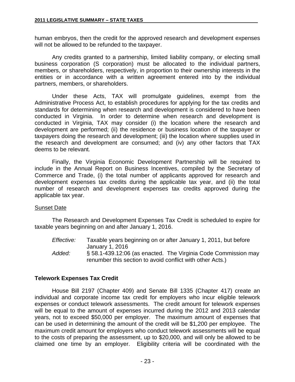human embryos, then the credit for the approved research and development expenses will not be allowed to be refunded to the taxpayer.

Any credits granted to a partnership, limited liability company, or electing small business corporation (S corporation) must be allocated to the individual partners, members, or shareholders, respectively, in proportion to their ownership interests in the entities or in accordance with a written agreement entered into by the individual partners, members, or shareholders.

Under these Acts, TAX will promulgate guidelines, exempt from the Administrative Process Act, to establish procedures for applying for the tax credits and standards for determining when research and development is considered to have been conducted in Virginia. In order to determine when research and development is conducted in Virginia, TAX may consider (i) the location where the research and development are performed; (ii) the residence or business location of the taxpayer or taxpayers doing the research and development; (iii) the location where supplies used in the research and development are consumed; and (iv) any other factors that TAX deems to be relevant*.* 

Finally, the Virginia Economic Development Partnership will be required to include in the Annual Report on Business Incentives, compiled by the Secretary of Commerce and Trade, (i) the total number of applicants approved for research and development expenses tax credits during the applicable tax year, and (ii) the total number of research and development expenses tax credits approved during the applicable tax year.

#### Sunset Date

The Research and Development Expenses Tax Credit is scheduled to expire for taxable years beginning on and after January 1, 2016.

*Effective:* Taxable years beginning on or after January 1, 2011, but before January 1, 2016 *Added:* § 58.1-439.12:06 (as enacted. The Virginia Code Commission may renumber this section to avoid conflict with other Acts.)

#### **Telework Expenses Tax Credit**

House Bill 2197 (Chapter 409) and Senate Bill 1335 (Chapter 417) create an individual and corporate income tax credit for employers who incur eligible telework expenses or conduct telework assessments. The credit amount for telework expenses will be equal to the amount of expenses incurred during the 2012 and 2013 calendar years, not to exceed \$50,000 per employer. The maximum amount of expenses that can be used in determining the amount of the credit will be \$1,200 per employee. The maximum credit amount for employers who conduct telework assessments will be equal to the costs of preparing the assessment, up to \$20,000, and will only be allowed to be claimed one time by an employer. Eligibility criteria will be coordinated with the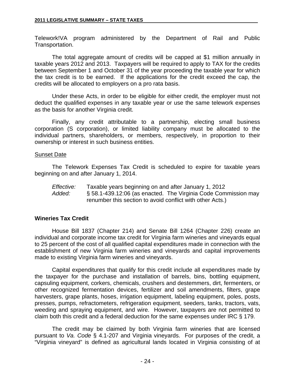Telework!VA program administered by the Department of Rail and Public Transportation.

The total aggregate amount of credits will be capped at \$1 million annually in taxable years 2012 and 2013. Taxpayers will be required to apply to TAX for the credits between September 1 and October 31 of the year proceeding the taxable year for which the tax credit is to be earned. If the applications for the credit exceed the cap, the credits will be allocated to employers on a pro rata basis.

Under these Acts, in order to be eligible for either credit, the employer must not deduct the qualified expenses in any taxable year or use the same telework expenses as the basis for another Virginia credit.

Finally, any credit attributable to a partnership, electing small business corporation (S corporation), or limited liability company must be allocated to the individual partners, shareholders, or members, respectively, in proportion to their ownership or interest in such business entities.

#### Sunset Date

The Telework Expenses Tax Credit is scheduled to expire for taxable years beginning on and after January 1, 2014.

*Effective:* Taxable years beginning on and after January 1, 2012 *Added:* § 58.1-439.12:06 (as enacted. The Virginia Code Commission may renumber this section to avoid conflict with other Acts.)

#### **Wineries Tax Credit**

House Bill 1837 (Chapter 214) and Senate Bill 1264 (Chapter 226) create an individual and corporate income tax credit for Virginia farm wineries and vineyards equal to 25 percent of the cost of all qualified capital expenditures made in connection with the establishment of new Virginia farm wineries and vineyards and capital improvements made to existing Virginia farm wineries and vineyards.

Capital expenditures that qualify for this credit include all expenditures made by the taxpayer for the purchase and installation of barrels, bins, bottling equipment, capsuling equipment, corkers, chemicals, crushers and destemmers, dirt, fermenters, or other recognized fermentation devices, fertilizer and soil amendments, filters, grape harvesters, grape plants, hoses, irrigation equipment, labeling equipment, poles, posts, presses, pumps, refractometers, refrigeration equipment, seeders, tanks, tractors, vats, weeding and spraying equipment, and wire. However, taxpayers are not permitted to claim both this credit and a federal deduction for the same expenses under IRC § 179.

The credit may be claimed by both Virginia farm wineries that are licensed pursuant to *Va. Code* § 4.1-207 and Virginia vineyards. For purposes of the credit, a "Virginia vineyard" is defined as agricultural lands located in Virginia consisting of at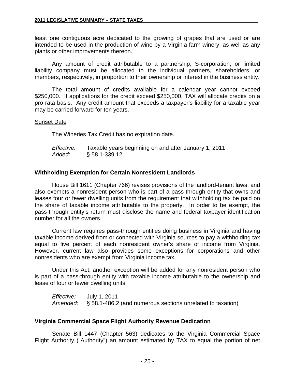least one contiguous acre dedicated to the growing of grapes that are used or are intended to be used in the production of wine by a Virginia farm winery, as well as any plants or other improvements thereon.

Any amount of credit attributable to a partnership, S-corporation, or limited liability company must be allocated to the individual partners, shareholders, or members, respectively, in proportion to their ownership or interest in the business entity.

The total amount of credits available for a calendar year cannot exceed \$250,000. If applications for the credit exceed \$250,000, TAX will allocate credits on a pro rata basis. Any credit amount that exceeds a taxpayer's liability for a taxable year may be carried forward for ten years.

#### Sunset Date

The Wineries Tax Credit has no expiration date.

| Effective: | Taxable years beginning on and after January 1, 2011 |
|------------|------------------------------------------------------|
| Added:     | $\S$ 58.1-339.12                                     |

#### **Withholding Exemption for Certain Nonresident Landlords**

House Bill 1611 (Chapter 766) revises provisions of the landlord-tenant laws, and also exempts a nonresident person who is part of a pass-through entity that owns and leases four or fewer dwelling units from the requirement that withholding tax be paid on the share of taxable income attributable to the property. In order to be exempt, the pass-through entity's return must disclose the name and federal taxpayer identification number for all the owners.

Current law requires pass-through entities doing business in Virginia and having taxable income derived from or connected with Virginia sources to pay a withholding tax equal to five percent of each nonresident owner's share of income from Virginia. However, current law also provides some exceptions for corporations and other nonresidents who are exempt from Virginia income tax.

Under this Act, another exception will be added for any nonresident person who is part of a pass-through entity with taxable income attributable to the ownership and lease of four or fewer dwelling units.

*Effective:* July 1, 2011 *Amended:* § 58.1-486.2 (and numerous sections unrelated to taxation)

#### **Virginia Commercial Space Flight Authority Revenue Dedication**

Senate Bill 1447 (Chapter 563) dedicates to the Virginia Commercial Space Flight Authority ("Authority") an amount estimated by TAX to equal the portion of net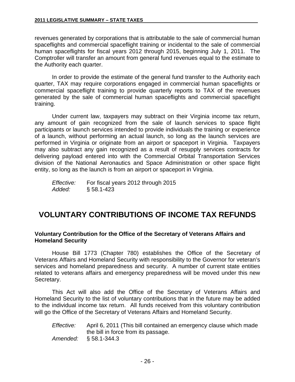revenues generated by corporations that is attributable to the sale of commercial human spaceflights and commercial spaceflight training or incidental to the sale of commercial human spaceflights for fiscal years 2012 through 2015, beginning July 1, 2011. The Comptroller will transfer an amount from general fund revenues equal to the estimate to the Authority each quarter.

In order to provide the estimate of the general fund transfer to the Authority each quarter, TAX may require corporations engaged in commercial human spaceflights or commercial spaceflight training to provide quarterly reports to TAX of the revenues generated by the sale of commercial human spaceflights and commercial spaceflight training.

Under current law, taxpayers may subtract on their Virginia income tax return, any amount of gain recognized from the sale of launch services to space flight participants or launch services intended to provide individuals the training or experience of a launch, without performing an actual launch, so long as the launch services are performed in Virginia or originate from an airport or spaceport in Virginia. Taxpayers may also subtract any gain recognized as a result of resupply services contracts for delivering payload entered into with the Commercial Orbital Transportation Services division of the National Aeronautics and Space Administration or other space flight entity, so long as the launch is from an airport or spaceport in Virginia.

*Effective:* For fiscal years 2012 through 2015 *Added:* § 58.1-423

## **VOLUNTARY CONTRIBUTIONS OF INCOME TAX REFUNDS**

#### **Voluntary Contribution for the Office of the Secretary of Veterans Affairs and Homeland Security**

House Bill 1773 (Chapter 780) establishes the Office of the Secretary of Veterans Affairs and Homeland Security with responsibility to the Governor for veteran's services and homeland preparedness and security. A number of current state entities related to veterans affairs and emergency preparedness will be moved under this new Secretary.

This Act will also add the Office of the Secretary of Veterans Affairs and Homeland Security to the list of voluntary contributions that in the future may be added to the individual income tax return. All funds received from this voluntary contribution will go the Office of the Secretary of Veterans Affairs and Homeland Security.

*Effective:* April 6, 2011 (This bill contained an emergency clause which made the bill in force from its passage. *Amended:* § 58.1-344.3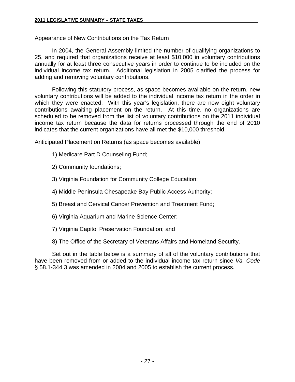#### Appearance of New Contributions on the Tax Return

In 2004, the General Assembly limited the number of qualifying organizations to 25, and required that organizations receive at least \$10,000 in voluntary contributions annually for at least three consecutive years in order to continue to be included on the individual income tax return. Additional legislation in 2005 clarified the process for adding and removing voluntary contributions.

Following this statutory process, as space becomes available on the return, new voluntary contributions will be added to the individual income tax return in the order in which they were enacted. With this year's legislation, there are now eight voluntary contributions awaiting placement on the return. At this time, no organizations are scheduled to be removed from the list of voluntary contributions on the 2011 individual income tax return because the data for returns processed through the end of 2010 indicates that the current organizations have all met the \$10,000 threshold.

#### Anticipated Placement on Returns (as space becomes available)

- 1) Medicare Part D Counseling Fund;
- 2) Community foundations;
- 3) Virginia Foundation for Community College Education;
- 4) Middle Peninsula Chesapeake Bay Public Access Authority;
- 5) Breast and Cervical Cancer Prevention and Treatment Fund;
- 6) Virginia Aquarium and Marine Science Center;
- 7) Virginia Capitol Preservation Foundation; and
- 8) The Office of the Secretary of Veterans Affairs and Homeland Security.

Set out in the table below is a summary of all of the voluntary contributions that have been removed from or added to the individual income tax return since *Va. Code*  § 58.1-344.3 was amended in 2004 and 2005 to establish the current process.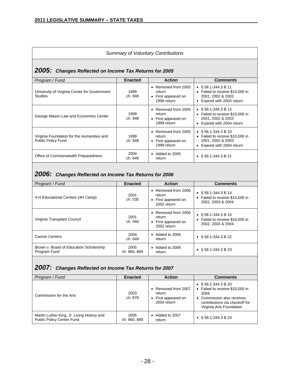| <b>Summary of Voluntary Contributions</b>                                        |                                   |                                                                                      |                                                                                                                                |
|----------------------------------------------------------------------------------|-----------------------------------|--------------------------------------------------------------------------------------|--------------------------------------------------------------------------------------------------------------------------------|
| 2005: Changes Reflected on Income Tax Returns for 2005                           |                                   |                                                                                      |                                                                                                                                |
| Program / Fund<br>University of Virginia Center for Government<br><b>Studies</b> | <b>Enacted</b><br>1999<br>ch. 948 | <b>Action</b><br>• Removed from 2005<br>return<br>• First appeared on<br>1999 return | <b>Comments</b><br>• $§$ 58.1-344.3 B 11<br>• Failed to receive \$10,000 in<br>2001, 2002 & 2003<br>• Expired with 2004 return |
| George Mason Law and Economics Center                                            | 1999<br>ch. 948                   | • Removed from 2005<br>return<br>• First appeared on<br>1999 return                  | • $$58.1 - 344.3 B12$<br>• Failed to receive \$10,000 in<br>2001, 2002 & 2003<br>• Expired with 2004 return                    |
| Virginia Foundation for the Humanities and<br>Public Policy Fund                 | 1999<br>ch. 948                   | • Removed from 2005<br>return<br>• First appeared on<br>1999 return                  | • $$58.1 - 344.3 B10$<br>• Failed to receive \$10,000 in<br>2001, 2002 & 2003<br>• Expired with 2004 return                    |
| Office of Commonwealth Preparedness                                              | 2004<br>ch. 649                   | • Added to $2005$<br>return                                                          | § 58.1-344.3 B 21<br>$\bullet$                                                                                                 |
| 2006: Changes Reflected on Income Tax Returns for 2006                           |                                   |                                                                                      |                                                                                                                                |

| Program / Fund                                          | <b>Enacted</b>       | <b>Action</b>                                                                  | <b>Comments</b>                                                               |
|---------------------------------------------------------|----------------------|--------------------------------------------------------------------------------|-------------------------------------------------------------------------------|
| 4-H Educational Centers (4H Camp)                       | 2001<br>ch. 535      | • Removed from 2006<br>return<br>First appeared on<br>$\bullet$<br>2002 return | • $$58.1 - 344.3 B14$<br>• Failed to receive \$10,000 in<br>2002, 2003 & 2004 |
| Virginia Transplant Council                             | 2001<br>ch. 560      | • Removed from 2006<br>return<br>First appeared on<br>$\bullet$<br>2002 return | • $$58.1 - 344.3 B15$<br>• Failed to receive \$10,000 in<br>2002. 2003 & 2004 |
| <b>Cancer Centers</b>                                   | 2004<br>ch. 649      | • Added to 2006<br>return                                                      | • $$58.1 - 344.3 B 22$                                                        |
| Brown v. Board of Education Scholarship<br>Program Fund | 2005<br>ch. 860, 889 | $\bullet$ Added to 2006<br>return                                              | • $$58.1 - 344.3 B 23$                                                        |

# *2007: Changes Reflected on Income Tax Returns for 2007*

| Program / Fund                                                                 | <b>Enacted</b>       | <b>Action</b>                                                       | <b>Comments</b>                                                                                                                                                                              |
|--------------------------------------------------------------------------------|----------------------|---------------------------------------------------------------------|----------------------------------------------------------------------------------------------------------------------------------------------------------------------------------------------|
| Commission for the Arts                                                        | 2003<br>ch. 878      | • Removed from 2007<br>return<br>• First appeared on<br>2004 return | • $$58.1 - 344.3 \text{ B } 20$<br>Failed to receive \$10,000 in<br>$\bullet$<br>2004<br>Commission also receives<br>$\bullet$<br>contributions via checkoff for<br>Virginia Arts Foundation |
| Martin Luther King, Jr. Living History and<br><b>Public Policy Center Fund</b> | 2005<br>ch. 860, 889 | Added to 2007<br>return                                             | § 58.1-344.3 B 24                                                                                                                                                                            |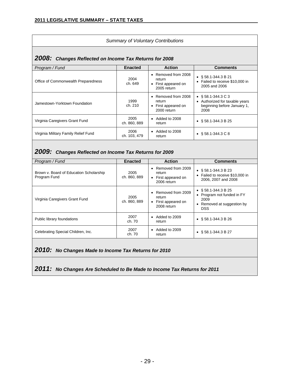| <b>Summary of Voluntary Contributions</b>              |                      |                                                                     |                                                                                                       |  |
|--------------------------------------------------------|----------------------|---------------------------------------------------------------------|-------------------------------------------------------------------------------------------------------|--|
| 2008: Changes Reflected on Income Tax Returns for 2008 |                      |                                                                     |                                                                                                       |  |
| Program / Fund                                         | <b>Enacted</b>       | <b>Action</b>                                                       | <b>Comments</b>                                                                                       |  |
| Office of Commonwealth Preparedness                    | 2004<br>ch. 649      | • Removed from 2008<br>return<br>• First appeared on<br>2005 return | § 58.1-344.3 B 21<br>$\bullet$<br>• Failed to receive \$10,000 in<br>2005 and 2006                    |  |
| Jamestown-Yorktown Foundation                          | 1999<br>ch. 210      | • Removed from 2008<br>return<br>• First appeared on<br>2000 return | • $$58.1 - 344.3 \text{ C}3$<br>• Authorized for taxable years<br>beginning before January 1,<br>2008 |  |
| Virginia Caregivers Grant Fund                         | 2005<br>ch. 860, 889 | $\bullet$ Added to 2008<br>return                                   | § 58.1-344.3 B 25<br>$\bullet$                                                                        |  |
| Virginia Military Family Relief Fund                   | 2006<br>ch. 103, 479 | • Added to 2008<br>return                                           | § 58.1-344.3 C 8<br>٠                                                                                 |  |

#### *2009: Changes Reflected on Income Tax Returns for 2009*

| Program / Fund                                          | <b>Enacted</b>       | <b>Action</b>                                                       | <b>Comments</b>                                                                                        |
|---------------------------------------------------------|----------------------|---------------------------------------------------------------------|--------------------------------------------------------------------------------------------------------|
| Brown v. Board of Education Scholarship<br>Program Fund | 2005<br>ch. 860, 889 | • Removed from 2009<br>return<br>• First appeared on<br>2006 return | • $$58.1 - 344.3 B 23$<br>• Failed to receive \$10,000 in<br>2006, 2007 and 2008                       |
| Virginia Caregivers Grant Fund                          | 2005<br>ch. 860, 889 | • Removed from 2009<br>return<br>• First appeared on<br>2008 return | • $$58.1 - 344.3 B 25$<br>• Program not funded in FY<br>2009<br>Removed at suggestion by<br><b>DSS</b> |
| Public library foundations                              | 2007<br>ch. 70       | $\bullet$ Added to 2009<br>return                                   | • $$58.1 - 344.3 B 26$                                                                                 |
| Celebrating Special Children, Inc.                      | 2007<br>ch. 70       | • Added to $2009$<br>return                                         | • $$58.1 - 344.3 B 27$                                                                                 |

*2010: No Changes Made to Income Tax Returns for 2010* 

*2011: No Changes Are Scheduled to Be Made to Income Tax Returns for 2011*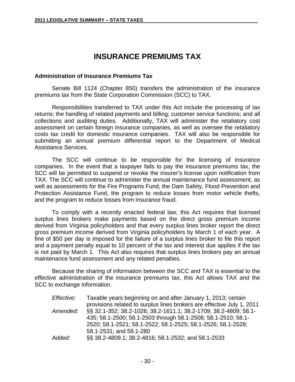## **INSURANCE PREMIUMS TAX**

#### **Administration of Insurance Premiums Tax**

Senate Bill 1124 (Chapter 850) transfers the administration of the insurance premiums tax from the State Corporation Commission (SCC) to TAX.

Responsibilities transferred to TAX under this Act include the processing of tax returns; the handling of related payments and billing; customer service functions; and all collections and auditing duties. Additionally, TAX will administer the retaliatory cost assessment on certain foreign insurance companies, as well as oversee the retaliatory costs tax credit for domestic insurance companies. TAX will also be responsible for submitting an annual premium differential report to the Department of Medical Assistance Services.

The SCC will continue to be responsible for the licensing of insurance companies. In the event that a taxpayer fails to pay the insurance premiums tax, the SCC will be permitted to suspend or revoke the insurer's license upon notification from TAX. The SCC will continue to administer the annual maintenance fund assessment, as well as assessments for the Fire Programs Fund, the Dam Safety, Flood Prevention and Protection Assistance Fund, the program to reduce losses from motor vehicle thefts, and the program to reduce losses from insurance fraud.

To comply with a recently enacted federal law, this Act requires that licensed surplus lines brokers make payments based on the direct gross premium income derived from Virginia policyholders and that every surplus lines broker report the direct gross premium income derived from Virginia policyholders by March 1 of each year. A fine of \$50 per day is imposed for the failure of a surplus lines broker to file this report and a payment penalty equal to 10 percent of the tax and interest due applies if the tax is not paid by March 1. This Act also requires that surplus lines brokers pay an annual maintenance fund assessment and any related penalties.

Because the sharing of information between the SCC and TAX is essential to the effective administration of the insurance premiums tax, this Act allows TAX and the SCC to exchange information.

| Effective: | Taxable years beginning on and after January 1, 2013; certain          |
|------------|------------------------------------------------------------------------|
|            | provisions related to surplus lines brokers are effective July 1, 2011 |
| Amended:   | SS 32.1-352; 38.2-1026; 38.2-1611.1; 38.2-1709; 38.2-4809; 58.1-       |
|            | 435; 58.1-2500; 58.1-2503 through 58.1-2508; 58.1-2510; 58.1-          |
|            | 2520; 58.1-2521; 58.1-2522; 58.1-2525; 58.1-2526; 58.1-2528;           |
|            | 58.1-2531; and 59.1-280                                                |
| Added:     | §§ 38.2-4809.1; 38.2-4816; 58.1-2532; and 58.1-2533                    |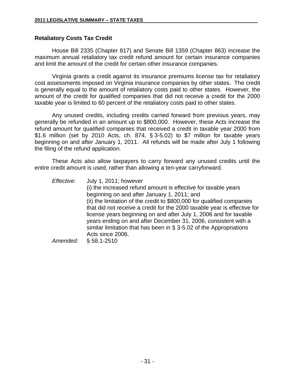#### **Retaliatory Costs Tax Credit**

House Bill 2335 (Chapter 817) and Senate Bill 1359 (Chapter 863) increase the maximum annual retaliatory tax credit refund amount for certain insurance companies and limit the amount of the credit for certain other insurance companies.

Virginia grants a credit against its insurance premiums license tax for retaliatory cost assessments imposed on Virginia insurance companies by other states. The credit is generally equal to the amount of retaliatory costs paid to other states. However, the amount of the credit for qualified companies that did not receive a credit for the 2000 taxable year is limited to 60 percent of the retaliatory costs paid to other states.

Any unused credits, including credits carried forward from previous years, may generally be refunded in an amount up to \$800,000. However, these Acts increase the refund amount for qualified companies that received a credit in taxable year 2000 from \$1.6 million (set by 2010 Acts, ch. 874, § 3-5.02) to \$7 million for taxable years beginning on and after January 1, 2011. All refunds will be made after July 1 following the filing of the refund application.

These Acts also allow taxpayers to carry forward any unused credits until the entire credit amount is used, rather than allowing a ten-year carryforward.

*Effective:* July 1, 2011; however (i) the increased refund amount is effective for taxable years beginning on and after January 1, 2011; and (ii) the limitation of the credit to \$800,000 for qualified companies that did not receive a credit for the 2000 taxable year is effective for license years beginning on and after July 1, 2006 and for taxable years ending on and after December 31, 2006, consistent with a similar limitation that has been in § 3-5.02 of the Appropriations Acts since 2006. *Amended:* § 58.1-2510

 $-31 -$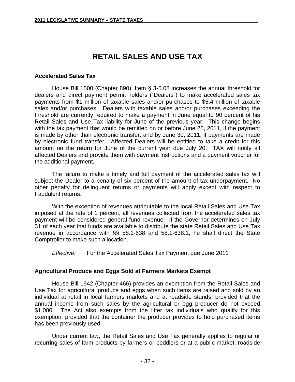# **RETAIL SALES AND USE TAX**

## **Accelerated Sales Tax**

House Bill 1500 (Chapter 890), Item § 3-5.08 increases the annual threshold for dealers and direct payment permit holders ("Dealers") to make accelerated sales tax payments from \$1 million of taxable sales and/or purchases to \$5.4 million of taxable sales and/or purchases. Dealers with taxable sales and/or purchases exceeding the threshold are currently required to make a payment in June equal to 90 percent of his Retail Sales and Use Tax liability for June of the previous year. This change begins with the tax payment that would be remitted on or before June 25, 2011, if the payment is made by other than electronic transfer, and by June 30, 2011, if payments are made by electronic fund transfer. Affected Dealers will be entitled to take a credit for this amount on the return for June of the current year due July 20. TAX will notify all affected Dealers and provide them with payment instructions and a payment voucher for the additional payment.

The failure to make a timely and full payment of the accelerated sales tax will subject the Dealer to a penalty of six percent of the amount of tax underpayment. No other penalty for delinquent returns or payments will apply except with respect to fraudulent returns.

With the exception of revenues attributable to the local Retail Sales and Use Tax imposed at the rate of 1 percent, all revenues collected from the accelerated sales tax payment will be considered general fund revenue. If the Governor determines on July 31 of each year that funds are available to distribute the state Retail Sales and Use Tax revenue in accordance with §§ 58.1-638 and 58.1-638.1, he shall direct the State Comptroller to make such allocation.

*Effective:* For the Accelerated Sales Tax Payment due June 2011

## **Agricultural Produce and Eggs Sold at Farmers Markets Exempt**

House Bill 1942 (Chapter 466) provides an exemption from the Retail Sales and Use Tax for agricultural produce and eggs when such items are raised and sold by an individual at retail in local farmers markets and at roadside stands, provided that the annual income from such sales by the agricultural or egg producer do not exceed \$1,000. The Act also exempts from the litter tax individuals who qualify for this exemption, provided that the container the producer provides to hold purchased items has been previously used.

Under current law, the Retail Sales and Use Tax generally applies to regular or recurring sales of farm products by farmers or peddlers or at a public market, roadside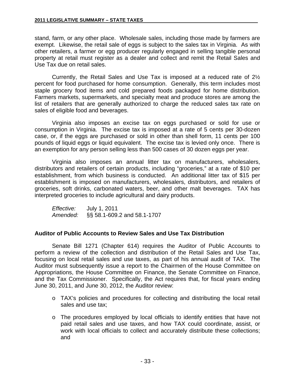stand, farm, or any other place. Wholesale sales, including those made by farmers are exempt. Likewise, the retail sale of eggs is subject to the sales tax in Virginia. As with other retailers, a farmer or egg producer regularly engaged in selling tangible personal property at retail must register as a dealer and collect and remit the Retail Sales and Use Tax due on retail sales.

Currently, the Retail Sales and Use Tax is imposed at a reduced rate of 2½ percent for food purchased for home consumption. Generally, this term includes most staple grocery food items and cold prepared foods packaged for home distribution. Farmers markets, supermarkets, and specialty meat and produce stores are among the list of retailers that are generally authorized to charge the reduced sales tax rate on sales of eligible food and beverages.

Virginia also imposes an excise tax on eggs purchased or sold for use or consumption in Virginia. The excise tax is imposed at a rate of 5 cents per 30-dozen case, or, if the eggs are purchased or sold in other than shell form, 11 cents per 100 pounds of liquid eggs or liquid equivalent. The excise tax is levied only once. There is an exemption for any person selling less than 500 cases of 30 dozen eggs per year.

Virginia also imposes an annual litter tax on manufacturers, wholesalers, distributors and retailers of certain products, including "groceries," at a rate of \$10 per establishment, from which business is conducted. An additional litter tax of \$15 per establishment is imposed on manufacturers, wholesalers, distributors, and retailers of groceries, soft drinks, carbonated waters, beer, and other malt beverages. TAX has interpreted groceries to include agricultural and dairy products.

| Effective: | July 1, 2011                |
|------------|-----------------------------|
| Amended:   | §§ 58.1-609.2 and 58.1-1707 |

# **Auditor of Public Accounts to Review Sales and Use Tax Distribution**

Senate Bill 1271 (Chapter 614) requires the Auditor of Public Accounts to perform a review of the collection and distribution of the Retail Sales and Use Tax, focusing on local retail sales and use taxes, as part of his annual audit of TAX. The Auditor must subsequently issue a report to the Chairmen of the House Committee on Appropriations, the House Committee on Finance, the Senate Committee on Finance, and the Tax Commissioner. Specifically, the Act requires that, for fiscal years ending June 30, 2011, and June 30, 2012, the Auditor review:

- o TAX's policies and procedures for collecting and distributing the local retail sales and use tax;
- o The procedures employed by local officials to identify entities that have not paid retail sales and use taxes, and how TAX could coordinate, assist, or work with local officials to collect and accurately distribute these collections; and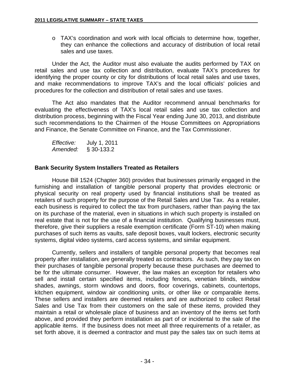o TAX's coordination and work with local officials to determine how, together, they can enhance the collections and accuracy of distribution of local retail sales and use taxes.

Under the Act, the Auditor must also evaluate the audits performed by TAX on retail sales and use tax collection and distribution, evaluate TAX's procedures for identifying the proper county or city for distributions of local retail sales and use taxes, and make recommendations to improve TAX's and the local officials' policies and procedures for the collection and distribution of retail sales and use taxes.

The Act also mandates that the Auditor recommend annual benchmarks for evaluating the effectiveness of TAX's local retail sales and use tax collection and distribution process, beginning with the Fiscal Year ending June 30, 2013, and distribute such recommendations to the Chairmen of the House Committees on Appropriations and Finance, the Senate Committee on Finance, and the Tax Commissioner.

*Effective:* July 1, 2011 *Amended:* § 30-133.2

## **Bank Security System Installers Treated as Retailers**

House Bill 1524 (Chapter 360) provides that businesses primarily engaged in the furnishing and installation of tangible personal property that provides electronic or physical security on real property used by financial institutions shall be treated as retailers of such property for the purpose of the Retail Sales and Use Tax. As a retailer, each business is required to collect the tax from purchasers, rather than paying the tax on its purchase of the material, even in situations in which such property is installed on real estate that is not for the use of a financial institution. Qualifying businesses must, therefore, give their suppliers a resale exemption certificate (Form ST-10) when making purchases of such items as vaults, safe deposit boxes, vault lockers, electronic security systems, digital video systems, card access systems, and similar equipment.

Currently, sellers and installers of tangible personal property that becomes real property after installation, are generally treated as contractors. As such, they pay tax on their purchases of tangible personal property because these purchases are deemed to be for the ultimate consumer. However, the law makes an exception for retailers who sell and install certain specified items, including fences, venetian blinds, window shades, awnings, storm windows and doors, floor coverings, cabinets, countertops, kitchen equipment, window air conditioning units, or other like or comparable items. These sellers and installers are deemed retailers and are authorized to collect Retail Sales and Use Tax from their customers on the sale of these items, provided they maintain a retail or wholesale place of business and an inventory of the items set forth above, and provided they perform installation as part of or incidental to the sale of the applicable items. If the business does not meet all three requirements of a retailer, as set forth above, it is deemed a contractor and must pay the sales tax on such items at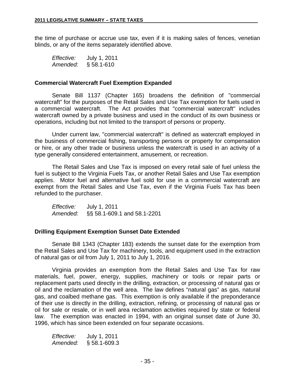the time of purchase or accrue use tax, even if it is making sales of fences, venetian blinds, or any of the items separately identified above.

*Effective:* July 1, 2011 *Amended:* § 58.1-610

### **Commercial Watercraft Fuel Exemption Expanded**

Senate Bill 1137 (Chapter 165) broadens the definition of "commercial watercraft" for the purposes of the Retail Sales and Use Tax exemption for fuels used in a commercial watercraft. The Act provides that "commercial watercraft" includes watercraft owned by a private business and used in the conduct of its own business or operations, including but not limited to the transport of persons or property.

Under current law, "commercial watercraft" is defined as watercraft employed in the business of commercial fishing, transporting persons or property for compensation or hire, or any other trade or business unless the watercraft is used in an activity of a type generally considered entertainment, amusement, or recreation.

The Retail Sales and Use Tax is imposed on every retail sale of fuel unless the fuel is subject to the Virginia Fuels Tax, or another Retail Sales and Use Tax exemption applies. Motor fuel and alternative fuel sold for use in a commercial watercraft are exempt from the Retail Sales and Use Tax, even if the Virginia Fuels Tax has been refunded to the purchaser.

*Effective:* July 1, 2011 *Amended:* §§ 58.1-609.1 and 58.1-2201

## **Drilling Equipment Exemption Sunset Date Extended**

Senate Bill 1343 (Chapter 183) extends the sunset date for the exemption from the Retail Sales and Use Tax for machinery, tools, and equipment used in the extraction of natural gas or oil from July 1, 2011 to July 1, 2016.

Virginia provides an exemption from the Retail Sales and Use Tax for raw materials, fuel, power, energy, supplies, machinery or tools or repair parts or replacement parts used directly in the drilling, extraction, or processing of natural gas or oil and the reclamation of the well area. The law defines "natural gas" as gas, natural gas, and coalbed methane gas. This exemption is only available if the preponderance of their use is directly in the drilling, extraction, refining, or processing of natural gas or oil for sale or resale, or in well area reclamation activities required by state or federal law. The exemption was enacted in 1994, with an original sunset date of June 30, 1996, which has since been extended on four separate occasions.

| Effective: | July 1, 2011   |
|------------|----------------|
| Amended:   | $§$ 58.1-609.3 |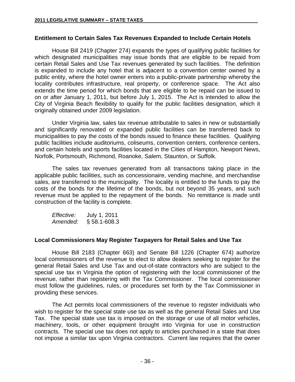## **Entitlement to Certain Sales Tax Revenues Expanded to Include Certain Hotels**

House Bill 2419 (Chapter 274) expands the types of qualifying public facilities for which designated municipalities may issue bonds that are eligible to be repaid from certain Retail Sales and Use Tax revenues generated by such facilities. The definition is expanded to include any hotel that is adjacent to a convention center owned by a public entity, where the hotel owner enters into a public-private partnership whereby the locality contributes infrastructure, real property, or conference space. The Act also extends the time period for which bonds that are eligible to be repaid can be issued to on or after January 1, 2011, but before July 1, 2015. The Act is intended to allow the City of Virginia Beach flexibility to qualify for the public facilities designation, which it originally obtained under 2009 legislation.

Under Virginia law, sales tax revenue attributable to sales in new or substantially and significantly renovated or expanded public facilities can be transferred back to municipalities to pay the costs of the bonds issued to finance these facilities. Qualifying public facilities include auditoriums, coliseums, convention centers, conference centers, and certain hotels and sports facilities located in the Cities of Hampton, Newport News, Norfolk, Portsmouth, Richmond, Roanoke, Salem, Staunton, or Suffolk.

The sales tax revenues generated from all transactions taking place in the applicable public facilities, such as concessionaire, vending machine, and merchandise sales, are transferred to the municipality. The locality is entitled to the funds to pay the costs of the bonds for the lifetime of the bonds, but not beyond 35 years, and such revenue must be applied to the repayment of the bonds. No remittance is made until construction of the facility is complete.

| Effective: | July 1, 2011   |
|------------|----------------|
| Amended:   | $§$ 58.1-608.3 |

# **Local Commissioners May Register Taxpayers for Retail Sales and Use Tax**

House Bill 2183 (Chapter 663) and Senate Bill 1226 (Chapter 674) authorize local commissioners of the revenue to elect to allow dealers seeking to register for the general Retail Sales and Use Tax and out-of-state contractors who are subject to the special use tax in Virginia the option of registering with the local commissioner of the revenue, rather than registering with the Tax Commissioner. The local commissioner must follow the guidelines, rules, or procedures set forth by the Tax Commissioner in providing these services.

The Act permits local commissioners of the revenue to register individuals who wish to register for the special state use tax as well as the general Retail Sales and Use Tax. The special state use tax is imposed on the storage or use of all motor vehicles, machinery, tools, or other equipment brought into Virginia for use in construction contracts. The special use tax does not apply to articles purchased in a state that does not impose a similar tax upon Virginia contractors. Current law requires that the owner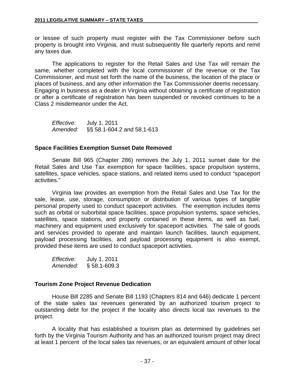or lessee of such property must register with the Tax Commissioner before such property is brought into Virginia, and must subsequently file quarterly reports and remit any taxes due.

The applications to register for the Retail Sales and Use Tax will remain the same, whether completed with the local commissioner of the revenue or the Tax Commissioner, and must set forth the name of the business, the location of the place or places of business, and any other information the Tax Commissioner deems necessary. Engaging in business as a dealer in Virginia without obtaining a certificate of registration or after a certificate of registration has been suspended or revoked continues to be a Class 2 misdemeanor under the Act.

*Effective:* July 1, 2011 *Amended:* §§ 58.1-604.2 and 58.1-613

## **Space Facilities Exemption Sunset Date Removed**

Senate Bill 965 (Chapter 286) removes the July 1, 2011 sunset date for the Retail Sales and Use Tax exemption for space facilities, space propulsion systems, satellites, space vehicles, space stations, and related items used to conduct "spaceport activities."

Virginia law provides an exemption from the Retail Sales and Use Tax for the sale, lease, use, storage, consumption or distribution of various types of tangible personal property used to conduct spaceport activities. The exemption includes items such as orbital or suborbital space facilities, space propulsion systems, space vehicles, satellites, space stations, and property contained in these items, as well as fuel, machinery and equipment used exclusively for spaceport activities. The sale of goods and services provided to operate and maintain launch facilities, launch equipment, payload processing facilities, and payload processing equipment is also exempt, provided these items are used to conduct spaceport activities.

| Effective: | July 1, 2011     |
|------------|------------------|
| Amended:   | $§ 58.1 - 609.3$ |

## **Tourism Zone Project Revenue Dedication**

House Bill 2285 and Senate Bill 1193 (Chapters 814 and 646) dedicate 1 percent of the state sales tax revenues generated by an authorized tourism project to outstanding debt for the project if the locality also directs local tax revenues to the project.

A locality that has established a tourism plan as determined by guidelines set forth by the Virginia Tourism Authority and has an authorized tourism project may direct at least 1 percent of the local sales tax revenues, or an equivalent amount of other local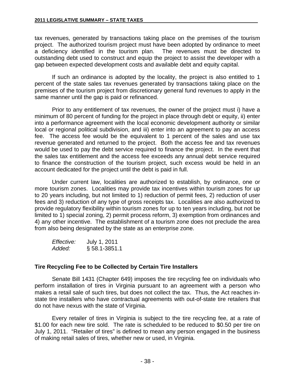tax revenues, generated by transactions taking place on the premises of the tourism project. The authorized tourism project must have been adopted by ordinance to meet a deficiency identified in the tourism plan. The revenues must be directed to outstanding debt used to construct and equip the project to assist the developer with a gap between expected development costs and available debt and equity capital.

If such an ordinance is adopted by the locality, the project is also entitled to 1 percent of the state sales tax revenues generated by transactions taking place on the premises of the tourism project from discretionary general fund revenues to apply in the same manner until the gap is paid or refinanced.

Prior to any entitlement of tax revenues, the owner of the project must i) have a minimum of 80 percent of funding for the project in place through debt or equity, ii) enter into a performance agreement with the local economic development authority or similar local or regional political subdivision, and iii) enter into an agreement to pay an access fee. The access fee would be the equivalent to 1 percent of the sales and use tax revenue generated and returned to the project. Both the access fee and tax revenues would be used to pay the debt service required to finance the project. In the event that the sales tax entitlement and the access fee exceeds any annual debt service required to finance the construction of the tourism project, such excess would be held in an account dedicated for the project until the debt is paid in full.

Under current law, localities are authorized to establish, by ordinance, one or more tourism zones. Localities may provide tax incentives within tourism zones for up to 20 years including, but not limited to 1) reduction of permit fees, 2) reduction of user fees and 3) reduction of any type of gross receipts tax. Localities are also authorized to provide regulatory flexibility within tourism zones for up to ten years including, but not be limited to 1) special zoning, 2) permit process reform, 3) exemption from ordinances and 4) any other incentive. The establishment of a tourism zone does not preclude the area from also being designated by the state as an enterprise zone.

| Effective: | July 1, 2011      |
|------------|-------------------|
| Added:     | $§ 58.1 - 3851.1$ |

## **Tire Recycling Fee to be Collected by Certain Tire Installers**

Senate Bill 1431 (Chapter 649) imposes the tire recycling fee on individuals who perform installation of tires in Virginia pursuant to an agreement with a person who makes a retail sale of such tires, but does not collect the tax. Thus, the Act reaches instate tire installers who have contractual agreements with out-of-state tire retailers that do not have nexus with the state of Virginia.

Every retailer of tires in Virginia is subject to the tire recycling fee, at a rate of \$1.00 for each new tire sold. The rate is scheduled to be reduced to \$0.50 per tire on July 1, 2011. "Retailer of tires" is defined to mean any person engaged in the business of making retail sales of tires, whether new or used, in Virginia.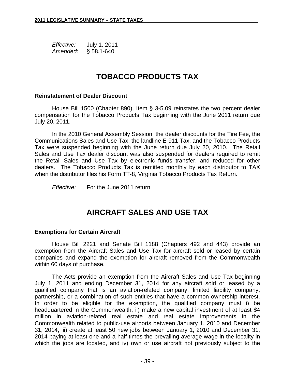*Effective:* July 1, 2011 *Amended:* § 58.1-640

# **TOBACCO PRODUCTS TAX**

### **Reinstatement of Dealer Discount**

House Bill 1500 (Chapter 890), Item § 3-5.09 reinstates the two percent dealer compensation for the Tobacco Products Tax beginning with the June 2011 return due July 20, 2011.

In the 2010 General Assembly Session, the dealer discounts for the Tire Fee, the Communications Sales and Use Tax, the landline E-911 Tax, and the Tobacco Products Tax were suspended beginning with the June return due July 20, 2010. The Retail Sales and Use Tax dealer discount was also suspended for dealers required to remit the Retail Sales and Use Tax by electronic funds transfer, and reduced for other dealers. The Tobacco Products Tax is remitted monthly by each distributor to TAX when the distributor files his Form TT-8, Virginia Tobacco Products Tax Return.

*Effective:* For the June 2011 return

# **AIRCRAFT SALES AND USE TAX**

### **Exemptions for Certain Aircraft**

House Bill 2221 and Senate Bill 1188 (Chapters 492 and 443) provide an exemption from the Aircraft Sales and Use Tax for aircraft sold or leased by certain companies and expand the exemption for aircraft removed from the Commonwealth within 60 days of purchase.

The Acts provide an exemption from the Aircraft Sales and Use Tax beginning July 1, 2011 and ending December 31, 2014 for any aircraft sold or leased by a qualified company that is an aviation-related company, limited liability company, partnership, or a combination of such entities that have a common ownership interest. In order to be eligible for the exemption, the qualified company must i) be headquartered in the Commonwealth, ii) make a new capital investment of at least \$4 million in aviation-related real estate and real estate improvements in the Commonwealth related to public-use airports between January 1, 2010 and December 31, 2014, iii) create at least 50 new jobs between January 1, 2010 and December 31, 2014 paying at least one and a half times the prevailing average wage in the locality in which the jobs are located, and iv) own or use aircraft not previously subject to the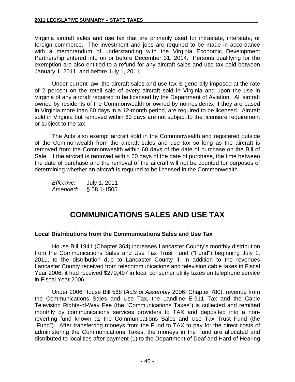Virginia aircraft sales and use tax that are primarily used for intrastate, interstate, or foreign commerce. The investment and jobs are required to be made in accordance with a memorandum of understanding with the Virginia Economic Development Partnership entered into on or before December 31, 2014. Persons qualifying for the exemption are also entitled to a refund for any aircraft sales and use tax paid between January 1, 2011, and before July 1, 2011.

Under current law, the aircraft sales and use tax is generally imposed at the rate of 2 percent on the retail sale of every aircraft sold in Virginia and upon the use in Virginia of any aircraft required to be licensed by the Department of Aviation. All aircraft owned by residents of the Commonwealth or owned by nonresidents, if they are based in Virginia more than 60 days in a 12-month period, are required to be licensed. Aircraft sold in Virginia but removed within 60 days are not subject to the licensure requirement or subject to the tax.

The Acts also exempt aircraft sold in the Commonwealth and registered outside of the Commonwealth from the aircraft sales and use tax so long as the aircraft is removed from the Commonwealth within 60 days of the date of purchase on the Bill of Sale. If the aircraft is removed within 60 days of the date of purchase, the time between the date of purchase and the removal of the aircraft will not be counted for purposes of determining whether an aircraft is required to be licensed in the Commonwealth.

*Effective:* July 1, 2011 *Amended:* § 58.1-1505

# **COMMUNICATIONS SALES AND USE TAX**

# **Local Distributions from the Communications Sales and Use Tax**

House Bill 1941 (Chapter 364) increases Lancaster County's monthly distribution from the Communications Sales and Use Tax Trust Fund ("Fund") beginning July 1, 2011, to the distribution due to Lancaster County if, in addition to the revenues Lancaster County received from telecommunications and television cable taxes in Fiscal Year 2006, it had received \$270,497 in local consumer utility taxes on telephone service in Fiscal Year 2006.

Under 2006 House Bill 568 (*Acts of Assembly* 2006, Chapter 780), revenue from the Communications Sales and Use Tax, the Landline E-911 Tax and the Cable Television Rights-of-Way Fee (the "Communications Taxes") is collected and remitted monthly by communications services providers to TAX and deposited into a nonreverting fund known as the Communications Sales and Use Tax Trust Fund (the "Fund"). After transferring moneys from the Fund to TAX to pay for the direct costs of administering the Communications Taxes, the moneys in the Fund are allocated and distributed to localities after payment (1) to the Department of Deaf and Hard-of-Hearing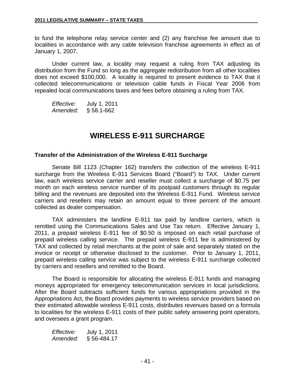to fund the telephone relay service center and (2) any franchise fee amount due to localities in accordance with any cable television franchise agreements in effect as of January 1, 2007.

Under current law, a locality may request a ruling from TAX adjusting its distribution from the Fund so long as the aggregate redistribution from all other localities does not exceed \$100,000. A locality is required to present evidence to TAX that it collected telecommunications or television cable funds in Fiscal Year 2006 from repealed local communications taxes and fees before obtaining a ruling from TAX.

*Effective:* July 1, 2011 *Amended:* § 58.1-662

# **WIRELESS E-911 SURCHARGE**

## **Transfer of the Administration of the Wireless E-911 Surcharge**

Senate Bill 1123 (Chapter 162) transfers the collection of the wireless E-911 surcharge from the Wireless E-911 Services Board ("Board") to TAX. Under current law, each wireless service carrier and reseller must collect a surcharge of \$0.75 per month on each wireless service number of its postpaid customers through its regular billing and the revenues are deposited into the Wireless E-911 Fund. Wireless service carriers and resellers may retain an amount equal to three percent of the amount collected as dealer compensation.

TAX administers the landline E-911 tax paid by landline carriers, which is remitted using the Communications Sales and Use Tax return. Effective January 1, 2011, a prepaid wireless E-911 fee of \$0.50 is imposed on each retail purchase of prepaid wireless calling service. The prepaid wireless E-911 fee is administered by TAX and collected by retail merchants at the point of sale and separately stated on the invoice or receipt or otherwise disclosed to the customer. Prior to January 1, 2011, prepaid wireless calling service was subject to the wireless E-911 surcharge collected by carriers and resellers and remitted to the Board.

The Board is responsible for allocating the wireless E-911 funds and managing moneys appropriated for emergency telecommunication services in local jurisdictions. After the Board subtracts sufficient funds for various appropriations provided in the Appropriations Act, the Board provides payments to wireless service providers based on their estimated allowable wireless E-911 costs, distributes revenues based on a formula to localities for the wireless E-911 costs of their public safety answering point operators, and oversees a grant program.

*Effective:* July 1, 2011 *Amended:* § 56-484.17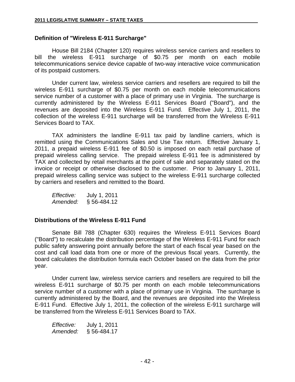## **Definition of "Wireless E-911 Surcharge"**

House Bill 2184 (Chapter 120) requires wireless service carriers and resellers to bill the wireless E-911 surcharge of \$0.75 per month on each mobile telecommunications service device capable of two-way interactive voice communication of its postpaid customers.

Under current law, wireless service carriers and resellers are required to bill the wireless E-911 surcharge of \$0.75 per month on each mobile telecommunications service number of a customer with a place of primary use in Virginia. The surcharge is currently administered by the Wireless E-911 Services Board ("Board"), and the revenues are deposited into the Wireless E-911 Fund. Effective July 1, 2011, the collection of the wireless E-911 surcharge will be transferred from the Wireless E-911 Services Board to TAX.

TAX administers the landline E-911 tax paid by landline carriers, which is remitted using the Communications Sales and Use Tax return. Effective January 1, 2011, a prepaid wireless E-911 fee of \$0.50 is imposed on each retail purchase of prepaid wireless calling service. The prepaid wireless E-911 fee is administered by TAX and collected by retail merchants at the point of sale and separately stated on the invoice or receipt or otherwise disclosed to the customer. Prior to January 1, 2011, prepaid wireless calling service was subject to the wireless E-911 surcharge collected by carriers and resellers and remitted to the Board.

| Effective: | July 1, 2011    |
|------------|-----------------|
| Amended:   | $§ 56 - 484.12$ |

## **Distributions of the Wireless E-911 Fund**

Senate Bill 788 (Chapter 630) requires the Wireless E-911 Services Board ("Board") to recalculate the distribution percentage of the Wireless E-911 Fund for each public safety answering point annually before the start of each fiscal year based on the cost and call load data from one or more of the previous fiscal years. Currently, the board calculates the distribution formula each October based on the data from the prior year.

Under current law, wireless service carriers and resellers are required to bill the wireless E-911 surcharge of \$0.75 per month on each mobile telecommunications service number of a customer with a place of primary use in Virginia. The surcharge is currently administered by the Board, and the revenues are deposited into the Wireless E-911 Fund. Effective July 1, 2011, the collection of the wireless E-911 surcharge will be transferred from the Wireless E-911 Services Board to TAX.

*Effective:* July 1, 2011 *Amended:* § 56-484.17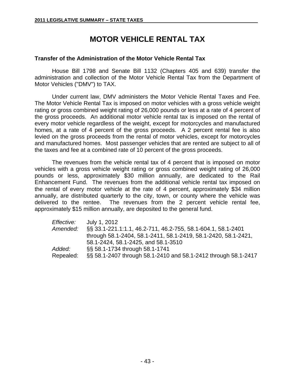# **MOTOR VEHICLE RENTAL TAX**

## **Transfer of the Administration of the Motor Vehicle Rental Tax**

House Bill 1798 and Senate Bill 1132 (Chapters 405 and 639) transfer the administration and collection of the Motor Vehicle Rental Tax from the Department of Motor Vehicles ("DMV") to TAX.

Under current law, DMV administers the Motor Vehicle Rental Taxes and Fee. The Motor Vehicle Rental Tax is imposed on motor vehicles with a gross vehicle weight rating or gross combined weight rating of 26,000 pounds or less at a rate of 4 percent of the gross proceeds. An additional motor vehicle rental tax is imposed on the rental of every motor vehicle regardless of the weight, except for motorcycles and manufactured homes, at a rate of 4 percent of the gross proceeds. A 2 percent rental fee is also levied on the gross proceeds from the rental of motor vehicles, except for motorcycles and manufactured homes. Most passenger vehicles that are rented are subject to all of the taxes and fee at a combined rate of 10 percent of the gross proceeds.

The revenues from the vehicle rental tax of 4 percent that is imposed on motor vehicles with a gross vehicle weight rating or gross combined weight rating of 26,000 pounds or less, approximately \$30 million annually, are dedicated to the Rail Enhancement Fund. The revenues from the additional vehicle rental tax imposed on the rental of every motor vehicle at the rate of 4 percent, approximately \$34 million annually, are distributed quarterly to the city, town, or county where the vehicle was delivered to the rentee. The revenues from the 2 percent vehicle rental fee, approximately \$15 million annually, are deposited to the general fund.

| <i>Effective:</i> | July 1, 2012                                                   |
|-------------------|----------------------------------------------------------------|
| Amended:          | §§ 33.1-221.1:1.1, 46.2-711, 46.2-755, 58.1-604.1, 58.1-2401   |
|                   | through 58.1-2404, 58.1-2411, 58.1-2419, 58.1-2420, 58.1-2421, |
|                   | 58.1-2424, 58.1-2425, and 58.1-3510                            |
| Added:            | §§ 58.1-1734 through 58.1-1741                                 |
| Repealed:         | §§ 58.1-2407 through 58.1-2410 and 58.1-2412 through 58.1-2417 |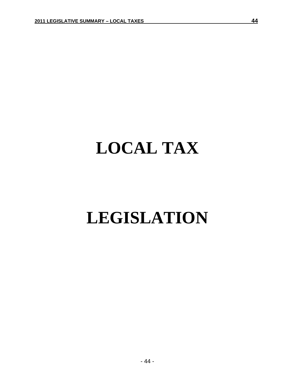# **LOCAL TAX**

# **LEGISLATION**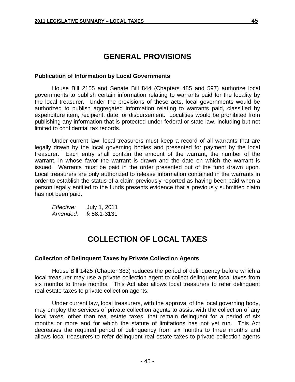# **GENERAL PROVISIONS**

## **Publication of Information by Local Governments**

House Bill 2155 and Senate Bill 844 (Chapters 485 and 597) authorize local governments to publish certain information relating to warrants paid for the locality by the local treasurer. Under the provisions of these acts, local governments would be authorized to publish aggregated information relating to warrants paid, classified by expenditure item, recipient, date, or disbursement. Localities would be prohibited from publishing any information that is protected under federal or state law, including but not limited to confidential tax records.

Under current law, local treasurers must keep a record of all warrants that are legally drawn by the local governing bodies and presented for payment by the local treasurer. Each entry shall contain the amount of the warrant, the number of the warrant, in whose favor the warrant is drawn and the date on which the warrant is issued. Warrants must be paid in the order presented out of the fund drawn upon. Local treasurers are only authorized to release information contained in the warrants in order to establish the status of a claim previously reported as having been paid when a person legally entitled to the funds presents evidence that a previously submitted claim has not been paid.

| Effective: | July 1, 2011    |
|------------|-----------------|
| Amended:   | $§ 58.1 - 3131$ |

# **COLLECTION OF LOCAL TAXES**

### **Collection of Delinquent Taxes by Private Collection Agents**

House Bill 1425 (Chapter 383) reduces the period of delinquency before which a local treasurer may use a private collection agent to collect delinquent local taxes from six months to three months. This Act also allows local treasurers to refer delinquent real estate taxes to private collection agents.

Under current law, local treasurers, with the approval of the local governing body, may employ the services of private collection agents to assist with the collection of any local taxes, other than real estate taxes, that remain delinquent for a period of six months or more and for which the statute of limitations has not yet run. This Act decreases the required period of delinquency from six months to three months and allows local treasurers to refer delinquent real estate taxes to private collection agents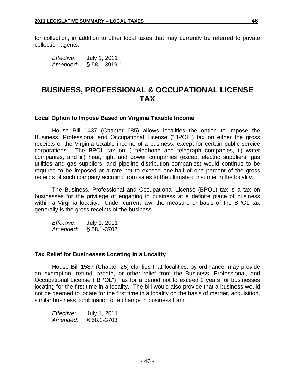for collection, in addition to other local taxes that may currently be referred to private collection agents.

*Effective:* July 1, 2011 *Amended:* § 58.1-3919.1

# **BUSINESS, PROFESSIONAL & OCCUPATIONAL LICENSE TAX**

#### **Local Option to Impose Based on Virginia Taxable Income**

House Bill 1437 (Chapter 685) allows localities the option to impose the Business, Professional and Occupational License ("BPOL") tax on either the gross receipts or the Virginia taxable income of a business, except for certain public service corporations. The BPOL tax on i) telephone and telegraph companies, ii) water companies, and iii) heat, light and power companies (except electric suppliers, gas utilities and gas suppliers, and pipeline distribution companies) would continue to be required to be imposed at a rate not to exceed one-half of one percent of the gross receipts of such company accruing from sales to the ultimate consumer in the locality.

The Business, Professional and Occupational License (BPOL) tax is a tax on businesses for the privilege of engaging in business at a definite place of business within a Virginia locality. Under current law, the measure or basis of the BPOL tax generally is the gross receipts of the business.

| Effective: | July 1, 2011    |
|------------|-----------------|
| Amended:   | $§ 58.1 - 3702$ |

#### **Tax Relief for Businesses Locating in a Locality**

House Bill 1587 (Chapter 25) clarifies that localities, by ordinance, may provide an exemption, refund, rebate, or other relief from the Business, Professional, and Occupational License ("BPOL") Tax for a period not to exceed 2 years for businesses locating for the first time in a locality. The bill would also provide that a business would not be deemed to locate for the first time in a locality on the basis of merger, acquisition, similar business combination or a change in business form.

| Effective: | July 1, 2011    |
|------------|-----------------|
| Amended:   | $§ 58.1 - 3703$ |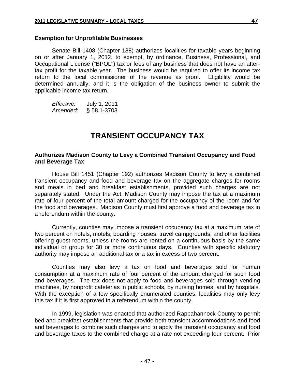#### **Exemption for Unprofitable Businesses**

Senate Bill 1408 (Chapter 188) authorizes localities for taxable years beginning on or after January 1, 2012, to exempt, by ordinance, Business, Professional, and Occupational License ("BPOL") tax or fees of any business that does not have an aftertax profit for the taxable year. The business would be required to offer its income tax return to the local commissioner of the revenue as proof. Eligibility would be determined annually, and it is the obligation of the business owner to submit the applicable income tax return.

*Effective:* July 1, 2011 *Amended:* § 58.1-3703

# **TRANSIENT OCCUPANCY TAX**

## **Authorizes Madison County to Levy a Combined Transient Occupancy and Food and Beverage Tax**

House Bill 1451 (Chapter 192) authorizes Madison County to levy a combined transient occupancy and food and beverage tax on the aggregate charges for rooms and meals in bed and breakfast establishments, provided such charges are not separately stated. Under the Act, Madison County may impose the tax at a maximum rate of four percent of the total amount charged for the occupancy of the room and for the food and beverages. Madison County must first approve a food and beverage tax in a referendum within the county.

Currently, counties may impose a transient occupancy tax at a maximum rate of two percent on hotels, motels, boarding houses, travel campgrounds, and other facilities offering guest rooms, unless the rooms are rented on a continuous basis by the same individual or group for 30 or more continuous days. Counties with specific statutory authority may impose an additional tax or a tax in excess of two percent.

Counties may also levy a tax on food and beverages sold for human consumption at a maximum rate of four percent of the amount charged for such food and beverages. The tax does not apply to food and beverages sold through vending machines, by nonprofit cafeterias in public schools, by nursing homes, and by hospitals. With the exception of a few specifically enumerated counties, localities may only levy this tax if it is first approved in a referendum within the county.

In 1999, legislation was enacted that authorized Rappahannock County to permit bed and breakfast establishments that provide both transient accommodations and food and beverages to combine such charges and to apply the transient occupancy and food and beverage taxes to the combined charge at a rate not exceeding four percent. Prior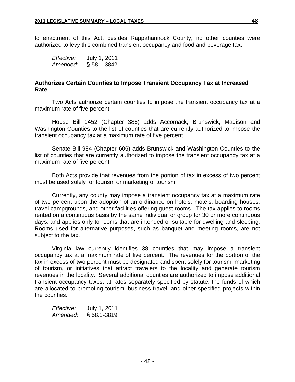to enactment of this Act, besides Rappahannock County, no other counties were authorized to levy this combined transient occupancy and food and beverage tax.

| Effective: | July 1, 2011    |
|------------|-----------------|
| Amended:   | $§ 58.1 - 3842$ |

## **Authorizes Certain Counties to Impose Transient Occupancy Tax at Increased Rate**

Two Acts authorize certain counties to impose the transient occupancy tax at a maximum rate of five percent.

House Bill 1452 (Chapter 385) adds Accomack, Brunswick, Madison and Washington Counties to the list of counties that are currently authorized to impose the transient occupancy tax at a maximum rate of five percent.

Senate Bill 984 (Chapter 606) adds Brunswick and Washington Counties to the list of counties that are currently authorized to impose the transient occupancy tax at a maximum rate of five percent.

Both Acts provide that revenues from the portion of tax in excess of two percent must be used solely for tourism or marketing of tourism.

Currently, any county may impose a transient occupancy tax at a maximum rate of two percent upon the adoption of an ordinance on hotels, motels, boarding houses, travel campgrounds, and other facilities offering guest rooms. The tax applies to rooms rented on a continuous basis by the same individual or group for 30 or more continuous days, and applies only to rooms that are intended or suitable for dwelling and sleeping. Rooms used for alternative purposes, such as banquet and meeting rooms, are not subject to the tax.

Virginia law currently identifies 38 counties that may impose a transient occupancy tax at a maximum rate of five percent. The revenues for the portion of the tax in excess of two percent must be designated and spent solely for tourism, marketing of tourism, or initiatives that attract travelers to the locality and generate tourism revenues in the locality. Several additional counties are authorized to impose additional transient occupancy taxes, at rates separately specified by statute, the funds of which are allocated to promoting tourism, business travel, and other specified projects within the counties.

*Effective:* July 1, 2011 *Amended:* § 58.1-3819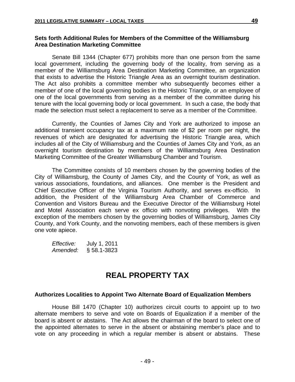## **Sets forth Additional Rules for Members of the Committee of the Williamsburg Area Destination Marketing Committee**

Senate Bill 1344 (Chapter 677) prohibits more than one person from the same local government, including the governing body of the locality, from serving as a member of the Williamsburg Area Destination Marketing Committee, an organization that exists to advertise the Historic Triangle Area as an overnight tourism destination. The Act also prohibits a committee member who subsequently becomes either a member of one of the local governing bodies in the Historic Triangle, or an employee of one of the local governments from serving as a member of the committee during his tenure with the local governing body or local government. In such a case, the body that made the selection must select a replacement to serve as a member of the Committee.

Currently, the Counties of James City and York are authorized to impose an additional transient occupancy tax at a maximum rate of \$2 per room per night, the revenues of which are designated for advertising the Historic Triangle area, which includes all of the City of Williamsburg and the Counties of James City and York, as an overnight tourism destination by members of the Williamsburg Area Destination Marketing Committee of the Greater Williamsburg Chamber and Tourism.

The Committee consists of 10 members chosen by the governing bodies of the City of Williamsburg, the County of James City, and the County of York, as well as various associations, foundations, and alliances. One member is the President and Chief Executive Officer of the Virginia Tourism Authority, and serves ex-officio. In addition, the President of the Williamsburg Area Chamber of Commerce and Convention and Visitors Bureau and the Executive Director of the Williamsburg Hotel and Motel Association each serve ex officio with nonvoting privileges. With the exception of the members chosen by the governing bodies of Williamsburg, James City County, and York County, and the nonvoting members, each of these members is given one vote apiece.

| Effective: | July 1, 2011    |
|------------|-----------------|
| Amended:   | $§ 58.1 - 3823$ |

# **REAL PROPERTY TAX**

### **Authorizes Localities to Appoint Two Alternate Board of Equalization Members**

House Bill 1470 (Chapter 10) authorizes circuit courts to appoint up to two alternate members to serve and vote on Boards of Equalization if a member of the board is absent or abstains. The Act allows the chairman of the board to select one of the appointed alternates to serve in the absent or abstaining member's place and to vote on any proceeding in which a regular member is absent or abstains. These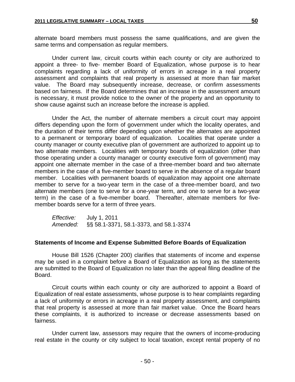alternate board members must possess the same qualifications, and are given the same terms and compensation as regular members.

Under current law, circuit courts within each county or city are authorized to appoint a three- to five- member Board of Equalization, whose purpose is to hear complaints regarding a lack of uniformity of errors in acreage in a real property assessment and complaints that real property is assessed at more than fair market value. The Board may subsequently increase, decrease, or confirm assessments based on fairness. If the Board determines that an increase in the assessment amount is necessary, it must provide notice to the owner of the property and an opportunity to show cause against such an increase before the increase is applied.

Under the Act, the number of alternate members a circuit court may appoint differs depending upon the form of government under which the locality operates, and the duration of their terms differ depending upon whether the alternates are appointed to a permanent or temporary board of equalization. Localities that operate under a county manager or county executive plan of government are authorized to appoint up to two alternate members. Localities with temporary boards of equalization (other than those operating under a county manager or county executive form of government) may appoint one alternate member in the case of a three-member board and two alternate members in the case of a five-member board to serve in the absence of a regular board member. Localities with permanent boards of equalization may appoint one alternate member to serve for a two-year term in the case of a three-member board, and two alternate members (one to serve for a one-year term, and one to serve for a two-year term) in the case of a five-member board. Thereafter, alternate members for fivemember boards serve for a term of three years.

| Effective: | July 1, 2011                           |
|------------|----------------------------------------|
| Amended:   | §§ 58.1-3371, 58.1-3373, and 58.1-3374 |

### **Statements of Income and Expense Submitted Before Boards of Equalization**

House Bill 1526 (Chapter 200) clarifies that statements of income and expense may be used in a complaint before a Board of Equalization as long as the statements are submitted to the Board of Equalization no later than the appeal filing deadline of the Board.

Circuit courts within each county or city are authorized to appoint a Board of Equalization of real estate assessments, whose purpose is to hear complaints regarding a lack of uniformity or errors in acreage in a real property assessment, and complaints that real property is assessed at more than fair market value. Once the Board hears these complaints, it is authorized to increase or decrease assessments based on fairness.

Under current law, assessors may require that the owners of income-producing real estate in the county or city subject to local taxation, except rental property of no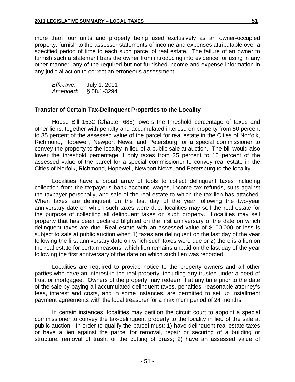more than four units and property being used exclusively as an owner-occupied property, furnish to the assessor statements of income and expenses attributable over a specified period of time to each such parcel of real estate. The failure of an owner to furnish such a statement bars the owner from introducing into evidence, or using in any other manner, any of the required but not furnished income and expense information in any judicial action to correct an erroneous assessment.

| Effective: | July 1, 2011    |
|------------|-----------------|
| Amended:   | $§ 58.1 - 3294$ |

### **Transfer of Certain Tax-Delinquent Properties to the Locality**

House Bill 1532 (Chapter 688) lowers the threshold percentage of taxes and other liens, together with penalty and accumulated interest, on property from 50 percent to 35 percent of the assessed value of the parcel for real estate in the Cities of Norfolk, Richmond, Hopewell, Newport News, and Petersburg for a special commissioner to convey the property to the locality in lieu of a public sale at auction. The bill would also lower the threshold percentage if only taxes from 25 percent to 15 percent of the assessed value of the parcel for a special commissioner to convey real estate in the Cities of Norfolk, Richmond, Hopewell, Newport News, and Petersburg to the locality.

Localities have a broad array of tools to collect delinquent taxes including collection from the taxpayer's bank account, wages, income tax refunds, suits against the taxpayer personally, and sale of the real estate to which the tax lien has attached. When taxes are delinquent on the last day of the year following the two-year anniversary date on which such taxes were due, localities may sell the real estate for the purpose of collecting all delinquent taxes on such property. Localities may sell property that has been declared blighted on the first anniversary of the date on which delinquent taxes are due. Real estate with an assessed value of \$100,000 or less is subject to sale at public auction when 1) taxes are delinquent on the last day of the year following the first anniversary date on which such taxes were due or 2) there is a lien on the real estate for certain reasons, which lien remains unpaid on the last day of the year following the first anniversary of the date on which such lien was recorded.

Localities are required to provide notice to the property owners and all other parties who have an interest in the real property, including any trustee under a deed of trust or mortgagee. Owners of the property may redeem it at any time prior to the date of the sale by paying all accumulated delinquent taxes, penalties, reasonable attorney's fees, interest and costs, and in some instances, are permitted to set up installment payment agreements with the local treasurer for a maximum period of 24 months.

In certain instances, localities may petition the circuit court to appoint a special commissioner to convey the tax-delinquent property to the locality in lieu of the sale at public auction. In order to qualify the parcel must: 1) have delinquent real estate taxes or have a lien against the parcel for removal, repair or securing of a building or structure, removal of trash, or the cutting of grass; 2) have an assessed value of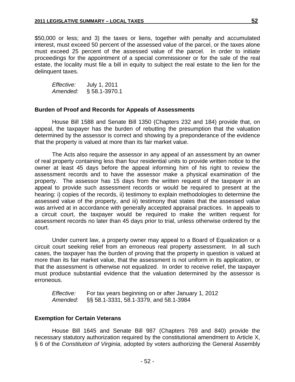\$50,000 or less; and 3) the taxes or liens, together with penalty and accumulated interest, must exceed 50 percent of the assessed value of the parcel, or the taxes alone must exceed 25 percent of the assessed value of the parcel. In order to initiate proceedings for the appointment of a special commissioner or for the sale of the real estate, the locality must file a bill in equity to subject the real estate to the lien for the delinquent taxes.

*Effective:* July 1, 2011 *Amended:* § 58.1-3970.1

#### **Burden of Proof and Records for Appeals of Assessments**

House Bill 1588 and Senate Bill 1350 (Chapters 232 and 184) provide that, on appeal, the taxpayer has the burden of rebutting the presumption that the valuation determined by the assessor is correct and showing by a preponderance of the evidence that the property is valued at more than its fair market value.

The Acts also require the assessor in any appeal of an assessment by an owner of real property containing less than four residential units to provide written notice to the owner at least 45 days before the appeal informing him of his right to review the assessment records and to have the assessor make a physical examination of the property. The assessor has 15 days from the written request of the taxpayer in an appeal to provide such assessment records or would be required to present at the hearing: i) copies of the records, ii) testimony to explain methodologies to determine the assessed value of the property, and iii) testimony that states that the assessed value was arrived at in accordance with generally accepted appraisal practices. In appeals to a circuit court, the taxpayer would be required to make the written request for assessment records no later than 45 days prior to trial, unless otherwise ordered by the court.

Under current law, a property owner may appeal to a Board of Equalization or a circuit court seeking relief from an erroneous real property assessment. In all such cases, the taxpayer has the burden of proving that the property in question is valued at more than its fair market value, that the assessment is not uniform in its application, or that the assessment is otherwise not equalized. In order to receive relief, the taxpayer must produce substantial evidence that the valuation determined by the assessor is erroneous.

*Effective:* For tax years beginning on or after January 1, 2012 *Amended:* §§ 58.1-3331, 58.1-3379, and 58.1-3984

### **Exemption for Certain Veterans**

House Bill 1645 and Senate Bill 987 (Chapters 769 and 840) provide the necessary statutory authorization required by the constitutional amendment to Article X, § 6 of the *Constitution of Virginia*, adopted by voters authorizing the General Assembly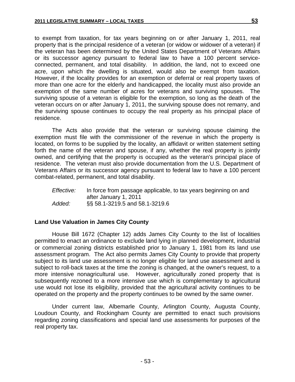to exempt from taxation, for tax years beginning on or after January 1, 2011, real property that is the principal residence of a veteran (or widow or widower of a veteran) if the veteran has been determined by the United States Department of Veterans Affairs or its successor agency pursuant to federal law to have a 100 percent serviceconnected, permanent, and total disability. In addition, the land, not to exceed one acre, upon which the dwelling is situated, would also be exempt from taxation. However, if the locality provides for an exemption or deferral or real property taxes of more than one acre for the elderly and handicapped, the locality must also provide an exemption of the same number of acres for veterans and surviving spouses. The surviving spouse of a veteran is eligible for the exemption, so long as the death of the veteran occurs on or after January 1, 2011, the surviving spouse does not remarry, and the surviving spouse continues to occupy the real property as his principal place of residence.

The Acts also provide that the veteran or surviving spouse claiming the exemption must file with the commissioner of the revenue in which the property is located, on forms to be supplied by the locality, an affidavit or written statement setting forth the name of the veteran and spouse, if any, whether the real property is jointly owned, and certifying that the property is occupied as the veteran's principal place of residence. The veteran must also provide documentation from the U.S. Department of Veterans Affairs or its successor agency pursuant to federal law to have a 100 percent combat-related, permanent, and total disability.

*Effective:* In force from passage applicable, to tax years beginning on and after January 1, 2011 *Added:* §§ 58.1-3219.5 and 58.1-3219.6

## **Land Use Valuation in James City County**

House Bill 1672 (Chapter 12) adds James City County to the list of localities permitted to enact an ordinance to exclude land lying in planned development, industrial or commercial zoning districts established prior to January 1, 1981 from its land use assessment program. The Act also permits James City County to provide that property subject to its land use assessment is no longer eligible for land use assessment and is subject to roll-back taxes at the time the zoning is changed, at the owner's request, to a more intensive nonagricultural use. However, agriculturally zoned property that is subsequently rezoned to a more intensive use which is complementary to agricultural use would not lose its eligibility, provided that the agricultural activity continues to be operated on the property and the property continues to be owned by the same owner.

Under current law, Albemarle County, Arlington County, Augusta County, Loudoun County, and Rockingham County are permitted to enact such provisions regarding zoning classifications and special land use assessments for purposes of the real property tax.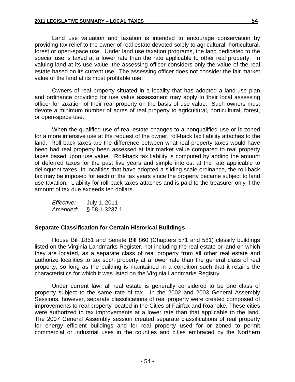Land use valuation and taxation is intended to encourage conservation by providing tax relief to the owner of real estate devoted solely to agricultural, horticultural, forest or open-space use. Under land use taxation programs, the land dedicated to the special use is taxed at a lower rate than the rate applicable to other real property. In valuing land at its use value, the assessing officer considers only the value of the real estate based on its current use. The assessing officer does not consider the fair market value of the land at its most profitable use.

Owners of real property situated in a locality that has adopted a land-use plan and ordinance providing for use value assessment may apply to their local assessing officer for taxation of their real property on the basis of use value. Such owners must devote a minimum number of acres of real property to agricultural, horticultural, forest, or open-space use.

When the qualified use of real estate changes to a nonqualified use or is zoned for a more intensive use at the request of the owner, roll-back tax liability attaches to the land. Roll-back taxes are the difference between what real property taxes would have been had real property been assessed at fair market value compared to real property taxes based upon use value. Roll-back tax liability is computed by adding the amount of deferred taxes for the past five years and simple interest at the rate applicable to delinquent taxes. In localities that have adopted a sliding scale ordinance, the roll-back tax may be imposed for each of the tax years since the property became subject to land use taxation. Liability for roll-back taxes attaches and is paid to the treasurer only if the amount of tax due exceeds ten dollars.

| Effective: | July 1, 2011     |
|------------|------------------|
| Amended:   | $\S$ 58.1-3237.1 |

### **Separate Classification for Certain Historical Buildings**

House Bill 1851 and Senate Bill 860 (Chapters 571 and 581) classify buildings listed on the Virginia Landmarks Register, not including the real estate or land on which they are located, as a separate class of real property from all other real estate and authorize localities to tax such property at a lower rate than the general class of real property, so long as the building is maintained in a condition such that it retains the characteristics for which it was listed on the Virginia Landmarks Registry.

Under current law, all real estate is generally considered to be one class of property subject to the same rate of tax. In the 2002 and 2003 General Assembly Sessions, however, separate classifications of real property were created composed of improvements to real property located in the Cities of Fairfax and Roanoke. These cities were authorized to tax improvements at a lower rate than that applicable to the land. The 2007 General Assembly session created separate classifications of real property for energy efficient buildings and for real property used for or zoned to permit commercial or industrial uses in the counties and cities embraced by the Northern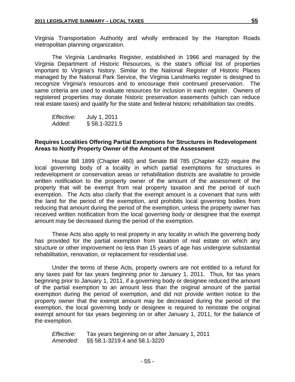Virginia Transportation Authority and wholly embraced by the Hampton Roads metropolitan planning organization.

The Virginia Landmarks Register, established in 1966 and managed by the Virginia Department of Historic Resources, is the state's official list of properties important to Virginia's history. Similar to the National Register of Historic Places managed by the National Park Service, the Virginia Landmarks register is designed to recognize Virginia's resources and to encourage their continued preservation. The same criteria are used to evaluate resources for inclusion in each register. Owners of registered properties may donate historic preservation easements (which can reduce real estate taxes) and qualify for the state and federal historic rehabilitation tax credits.

*Effective:* July 1, 2011 *Added:* § 58.1-3221.5

#### **Requires Localities Offering Partial Exemptions for Structures in Redevelopment Areas to Notify Property Owner of the Amount of the Assessment**

House Bill 1899 (Chapter 460) and Senate Bill 785 (Chapter 423) require the local governing body of a locality in which partial exemptions for structures in redevelopment or conservation areas or rehabilitation districts are available to provide written notification to the property owner of the amount of the assessment of the property that will be exempt from real property taxation and the period of such exemption. The Acts also clarify that the exempt amount is a covenant that runs with the land for the period of the exemption, and prohibits local governing bodies from reducing that amount during the period of the exemption, unless the property owner has received written notification from the local governing body or designee that the exempt amount may be decreased during the period of the exemption.

These Acts also apply to real property in any locality in which the governing body has provided for the partial exemption from taxation of real estate on which any structure or other improvement no less than 15 years of age has undergone substantial rehabilitation, renovation, or replacement for residential use.

Under the terms of these Acts, property owners are not entitled to a refund for any taxes paid for tax years beginning prior to January 1, 2011. Thus, for tax years beginning prior to January 1, 2011, if a governing body or designee reduced the amount of the partial exemption to an amount less than the original amount of the partial exemption during the period of exemption, and did not provide written notice to the property owner that the exempt amount may be decreased during the period of the exemption, the local governing body or designee is required to reinstate the original exempt amount for tax years beginning on or after January 1, 2011, for the balance of the exemption.

*Effective:* Tax years beginning on or after January 1, 2011 *Amended:* §§ 58.1-3219.4 and 58.1-3220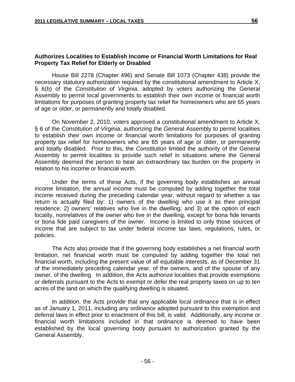## **Authorizes Localities to Establish Income or Financial Worth Limitations for Real Property Tax Relief for Elderly or Disabled**

House Bill 2278 (Chapter 496) and Senate Bill 1073 (Chapter 438) provide the necessary statutory authorization required by the constitutional amendment to Article X, § 6(b) of the *Constitution of Virginia*, adopted by voters authorizing the General Assembly to permit local governments to establish their own income or financial worth limitations for purposes of granting property tax relief for homeowners who are 65 years of age or older, or permanently and totally disabled.

On November 2, 2010, voters approved a constitutional amendment to Article X, § 6 of the *Constitution of Virginia*, authorizing the General Assembly to permit localities to establish their own income or financial worth limitations for purposes of granting property tax relief for homeowners who are 65 years of age or older, or permanently and totally disabled. Prior to this, the *Constitution* limited the authority of the General Assembly to permit localities to provide such relief in situations where the General Assembly deemed the person to bear an extraordinary tax burden on the property in relation to his income or financial worth.

Under the terms of these Acts, if the governing body establishes an annual income limitation, the annual income must be computed by adding together the total income received during the preceding calendar year, without regard to whether a tax return is actually filed by: 1) owners of the dwelling who use it as their principal residence; 2) owners' relatives who live in the dwelling; and 3) at the option of each locality, nonrelatives of the owner who live in the dwelling, except for bona fide tenants or bona fide paid caregivers of the owner. Income is limited to only those sources of income that are subject to tax under federal income tax laws, regulations, rules, or policies.

The Acts also provide that if the governing body establishes a net financial worth limitation, net financial worth must be computed by adding together the total net financial worth, including the present value of all equitable interests, as of December 31 of the immediately preceding calendar year, of the owners, and of the spouse of any owner, of the dwelling. In addition, the Acts authorize localities that provide exemptions or deferrals pursuant to the Acts to exempt or defer the real property taxes on up to ten acres of the land on which the qualifying dwelling is situated.

In addition, the Acts provide that any applicable local ordinance that is in effect as of January 1, 2011, including any ordinance adopted pursuant to this exemption and deferral laws in effect prior to enactment of this bill, is valid. Additionally, any income or financial worth limitations included in that ordinance is deemed to have been established by the local governing body pursuant to authorization granted by the General Assembly.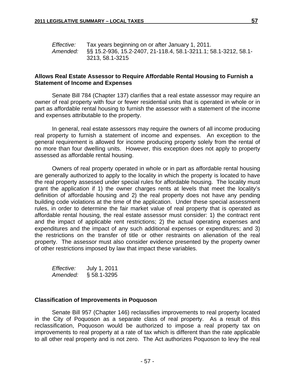*Effective:* Tax years beginning on or after January 1, 2011. *Amended:* §§ 15.2-936, 15.2-2407, 21-118.4, 58.1-3211.1; 58.1-3212, 58.1- 3213, 58.1-3215

## **Allows Real Estate Assessor to Require Affordable Rental Housing to Furnish a Statement of Income and Expenses**

Senate Bill 784 (Chapter 137) clarifies that a real estate assessor may require an owner of real property with four or fewer residential units that is operated in whole or in part as affordable rental housing to furnish the assessor with a statement of the income and expenses attributable to the property.

In general, real estate assessors may require the owners of all income producing real property to furnish a statement of income and expenses. An exception to the general requirement is allowed for income producing property solely from the rental of no more than four dwelling units. However, this exception does not apply to property assessed as affordable rental housing.

Owners of real property operated in whole or in part as affordable rental housing are generally authorized to apply to the locality in which the property is located to have the real property assessed under special rules for affordable housing. The locality must grant the application if 1) the owner charges rents at levels that meet the locality's definition of affordable housing and 2) the real property does not have any pending building code violations at the time of the application. Under these special assessment rules, in order to determine the fair market value of real property that is operated as affordable rental housing, the real estate assessor must consider: 1) the contract rent and the impact of applicable rent restrictions; 2) the actual operating expenses and expenditures and the impact of any such additional expenses or expenditures; and 3) the restrictions on the transfer of title or other restraints on alienation of the real property. The assessor must also consider evidence presented by the property owner of other restrictions imposed by law that impact these variables.

| Effective: | July 1, 2011   |
|------------|----------------|
| Amended:   | $\S$ 58.1-3295 |

### **Classification of Improvements in Poquoson**

Senate Bill 957 (Chapter 146) reclassifies improvements to real property located in the City of Poquoson as a separate class of real property. As a result of this reclassification, Poquoson would be authorized to impose a real property tax on improvements to real property at a rate of tax which is different than the rate applicable to all other real property and is not zero. The Act authorizes Poquoson to levy the real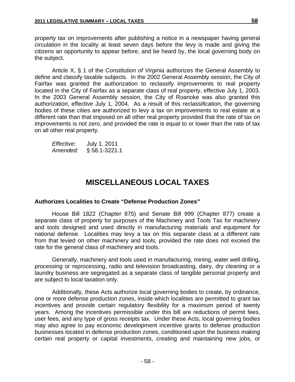property tax on improvements after publishing a notice in a newspaper having general circulation in the locality at least seven days before the levy is made and giving the citizens an opportunity to appear before, and be heard by, the local governing body on the subject.

Article X, § 1 of the *Constitution of Virginia* authorizes the General Assembly to define and classify taxable subjects. In the 2002 General Assembly session, the City of Fairfax was granted the authorization to reclassify improvements to real property located in the City of Fairfax as a separate class of real property, effective July 1, 2003. In the 2003 General Assembly session, the City of Roanoke was also granted this authorization, effective July 1, 2004. As a result of this reclassification, the governing bodies of these cities are authorized to levy a tax on improvements to real estate at a different rate than that imposed on all other real property provided that the rate of tax on improvements is not zero, and provided the rate is equal to or lower than the rate of tax on all other real property.

*Effective:* July 1, 2011 *Amended:* § 58.1-3221.1

# **MISCELLANEOUS LOCAL TAXES**

## **Authorizes Localities to Create "Defense Production Zones"**

House Bill 1822 (Chapter 875) and Senate Bill 999 (Chapter 877) create a separate class of property for purposes of the Machinery and Tools Tax for machinery and tools designed and used directly in manufacturing materials and equipment for national defense. Localities may levy a tax on this separate class at a different rate from that levied on other machinery and tools, provided the rate does not exceed the rate for the general class of machinery and tools.

Generally, machinery and tools used in manufacturing, mining, water well drilling, processing or reprocessing, radio and television broadcasting, dairy, dry cleaning or a laundry business are segregated as a separate class of tangible personal property and are subject to local taxation only.

Additionally, these Acts authorize local governing bodies to create, by ordinance, one or more defense production zones, inside which localities are permitted to grant tax incentives and provide certain regulatory flexibility for a maximum period of twenty years. Among the incentives permissible under this bill are reductions of permit fees, user fees, and any type of gross receipts tax. Under these Acts, local governing bodies may also agree to pay economic development incentive grants to defense production businesses located in defense production zones, conditioned upon the business making certain real property or capital investments, creating and maintaining new jobs, or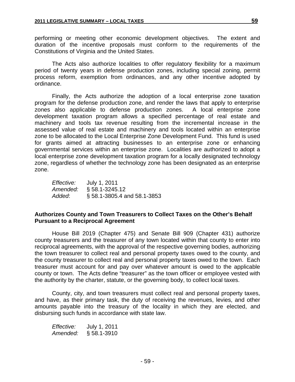performing or meeting other economic development objectives. The extent and duration of the incentive proposals must conform to the requirements of the Constitutions of Virginia and the United States.

The Acts also authorize localities to offer regulatory flexibility for a maximum period of twenty years in defense production zones, including special zoning, permit process reform, exemption from ordinances, and any other incentive adopted by ordinance.

Finally, the Acts authorize the adoption of a local enterprise zone taxation program for the defense production zone, and render the laws that apply to enterprise zones also applicable to defense production zones. A local enterprise zone development taxation program allows a specified percentage of real estate and machinery and tools tax revenue resulting from the incremental increase in the assessed value of real estate and machinery and tools located within an enterprise zone to be allocated to the Local Enterprise Zone Development Fund. This fund is used for grants aimed at attracting businesses to an enterprise zone or enhancing governmental services within an enterprise zone. Localities are authorized to adopt a local enterprise zone development taxation program for a locally designated technology zone, regardless of whether the technology zone has been designated as an enterprise zone.

*Effective:* July 1, 2011 *Amended:* § 58.1-3245.12 *Added*: § 58.1-3805.4 and 58.1-3853

## **Authorizes County and Town Treasurers to Collect Taxes on the Other's Behalf Pursuant to a Reciprocal Agreement**

House Bill 2019 (Chapter 475) and Senate Bill 909 (Chapter 431) authorize county treasurers and the treasurer of any town located within that county to enter into reciprocal agreements, with the approval of the respective governing bodies, authorizing the town treasurer to collect real and personal property taxes owed to the county, and the county treasurer to collect real and personal property taxes owed to the town. Each treasurer must account for and pay over whatever amount is owed to the applicable county or town. The Acts define "treasurer" as the town officer or employee vested with the authority by the charter, statute, or the governing body, to collect local taxes.

County, city, and town treasurers must collect real and personal property taxes, and have, as their primary task, the duty of receiving the revenues, levies, and other amounts payable into the treasury of the locality in which they are elected, and disbursing such funds in accordance with state law.

*Effective:* July 1, 2011 *Amended:* § 58.1-3910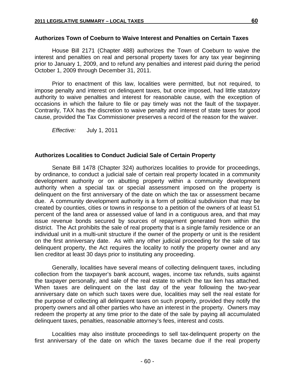#### **Authorizes Town of Coeburn to Waive Interest and Penalties on Certain Taxes**

House Bill 2171 (Chapter 488) authorizes the Town of Coeburn to waive the interest and penalties on real and personal property taxes for any tax year beginning prior to January 1, 2009, and to refund any penalties and interest paid during the period October 1, 2009 through December 31, 2011.

Prior to enactment of this law, localities were permitted, but not required, to impose penalty and interest on delinquent taxes, but once imposed, had little statutory authority to waive penalties and interest for reasonable cause, with the exception of occasions in which the failure to file or pay timely was not the fault of the taxpayer. Contrarily, TAX has the discretion to waive penalty and interest of state taxes for good cause, provided the Tax Commissioner preserves a record of the reason for the waiver.

*Effective:* July 1, 2011

### **Authorizes Localities to Conduct Judicial Sale of Certain Property**

Senate Bill 1478 (Chapter 324) authorizes localities to provide for proceedings, by ordinance, to conduct a judicial sale of certain real property located in a community development authority or on abutting property within a community development authority when a special tax or special assessment imposed on the property is delinquent on the first anniversary of the date on which the tax or assessment became due. A community development authority is a form of political subdivision that may be created by counties, cities or towns in response to a petition of the owners of at least 51 percent of the land area or assessed value of land in a contiguous area, and that may issue revenue bonds secured by sources of repayment generated from within the district. The Act prohibits the sale of real property that is a single family residence or an individual unit in a multi-unit structure if the owner of the property or unit is the resident on the first anniversary date. As with any other judicial proceeding for the sale of tax delinquent property, the Act requires the locality to notify the property owner and any lien creditor at least 30 days prior to instituting any proceeding.

Generally, localities have several means of collecting delinquent taxes, including collection from the taxpayer's bank account, wages, income tax refunds, suits against the taxpayer personally, and sale of the real estate to which the tax lien has attached. When taxes are delinquent on the last day of the year following the two-year anniversary date on which such taxes were due, localities may sell the real estate for the purpose of collecting all delinquent taxes on such property, provided they notify the property owners and all other parties who have an interest in the property. Owners may redeem the property at any time prior to the date of the sale by paying all accumulated delinquent taxes, penalties, reasonable attorney's fees, interest and costs.

Localities may also institute proceedings to sell tax-delinquent property on the first anniversary of the date on which the taxes became due if the real property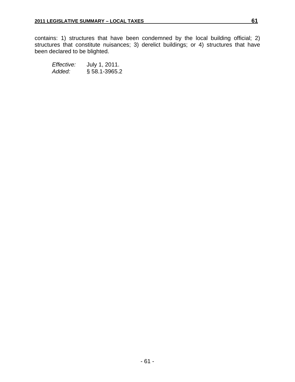contains: 1) structures that have been condemned by the local building official; 2) structures that constitute nuisances; 3) derelict buildings; or 4) structures that have been declared to be blighted.

*Effective:* July 1, 2011. *Added:* § 58.1-3965.2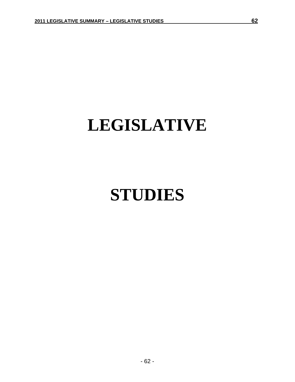# **LEGISLATIVE**

# **STUDIES**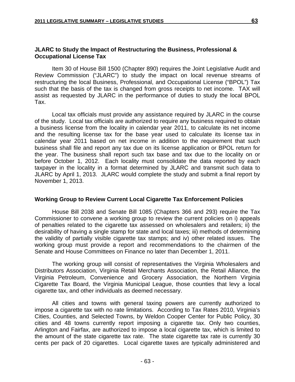## **JLARC to Study the Impact of Restructuring the Business, Professional & Occupational License Tax**

Item 30 of House Bill 1500 (Chapter 890) requires the Joint Legislative Audit and Review Commission ("JLARC") to study the impact on local revenue streams of restructuring the local Business, Professional, and Occupational License ("BPOL") Tax such that the basis of the tax is changed from gross receipts to net income. TAX will assist as requested by JLARC in the performance of duties to study the local BPOL Tax.

Local tax officials must provide any assistance required by JLARC in the course of the study. Local tax officials are authorized to require any business required to obtain a business license from the locality in calendar year 2011, to calculate its net income and the resulting license tax for the base year used to calculate its license tax in calendar year 2011 based on net income in addition to the requirement that such business shall file and report any tax due on its license application or BPOL return for the year. The business shall report such tax base and tax due to the locality on or before October 1, 2012. Each locality must consolidate the data reported by each taxpayer in the locality in a format determined by JLARC and transmit such data to JLARC by April 1, 2013. JLARC would complete the study and submit a final report by November 1, 2013.

## **Working Group to Review Current Local Cigarette Tax Enforcement Policies**

House Bill 2038 and Senate Bill 1085 (Chapters 366 and 293) require the Tax Commissioner to convene a working group to review the current policies on i) appeals of penalties related to the cigarette tax assessed on wholesalers and retailers; ii) the desirability of having a single stamp for state and local taxes; iii) methods of determining the validity of partially visible cigarette tax stamps; and iv) other related issues. The working group must provide a report and recommendations to the chairmen of the Senate and House Committees on Finance no later than December 1, 2011.

The working group will consist of representatives the Virginia Wholesalers and Distributors Association, Virginia Retail Merchants Association, the Retail Alliance, the Virginia Petroleum, Convenience and Grocery Association, the Northern Virginia Cigarette Tax Board, the Virginia Municipal League, those counties that levy a local cigarette tax, and other individuals as deemed necessary.

All cities and towns with general taxing powers are currently authorized to impose a cigarette tax with no rate limitations. According to Tax Rates 2010, Virginia's Cities, Counties, and Selected Towns, by Weldon Cooper Center for Public Policy, 30 cities and 48 towns currently report imposing a cigarette tax. Only two counties, Arlington and Fairfax, are authorized to impose a local cigarette tax, which is limited to the amount of the state cigarette tax rate. The state cigarette tax rate is currently 30 cents per pack of 20 cigarettes. Local cigarette taxes are typically administered and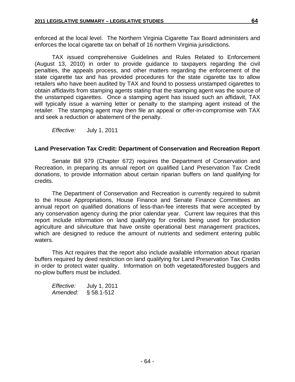enforced at the local level. The Northern Virginia Cigarette Tax Board administers and enforces the local cigarette tax on behalf of 16 northern Virginia jurisdictions.

TAX issued comprehensive Guidelines and Rules Related to Enforcement (August 13, 2010) in order to provide guidance to taxpayers regarding the civil penalties, the appeals process, and other matters regarding the enforcement of the state cigarette tax and has provided procedures for the state cigarette tax to allow retailers who have been audited by TAX and found to possess unstamped cigarettes to obtain affidavits from stamping agents stating that the stamping agent was the source of the unstamped cigarettes. Once a stamping agent has issued such an affidavit, TAX will typically issue a warning letter or penalty to the stamping agent instead of the retailer. The stamping agent may then file an appeal or offer-in-compromise with TAX and seek a reduction or abatement of the penalty.

*Effective:* July 1, 2011

## **Land Preservation Tax Credit: Department of Conservation and Recreation Report**

Senate Bill 979 (Chapter 672) requires the Department of Conservation and Recreation, in preparing its annual report on qualified Land Preservation Tax Credit donations, to provide information about certain riparian buffers on land qualifying for credits.

The Department of Conservation and Recreation is currently required to submit to the House Appropriations, House Finance and Senate Finance Committees an annual report on qualified donations of less-than-fee interests that were accepted by any conservation agency during the prior calendar year. Current law requires that this report include information on land qualifying for credits being used for production agriculture and silviculture that have onsite operational best management practices, which are designed to reduce the amount of nutrients and sediment entering public waters.

This Act requires that the report also include available information about riparian buffers required by deed restriction on land qualifying for Land Preservation Tax Credits in order to protect water quality. Information on both vegetated/forested buggers and no-plow buffers must be included.

| Effective: | July 1, 2011   |
|------------|----------------|
| Amended:   | $§ 58.1 - 512$ |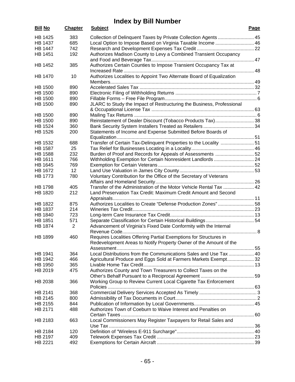# **Index by Bill Number**

| <b>Bill No</b>                   | <b>Chapter</b> | <b>Subject</b>                                                                                                                       | Page |
|----------------------------------|----------------|--------------------------------------------------------------------------------------------------------------------------------------|------|
| <b>HB 1425</b>                   | 383            | Collection of Delinquent Taxes by Private Collection Agents  45                                                                      |      |
| <b>HB 1437</b>                   | 685            | Local Option to Impose Based on Virginia Taxable Income  46                                                                          |      |
| <b>HB 1447</b>                   | 742            |                                                                                                                                      |      |
| HB 1451                          | 192            | Authorizes Madison County to Levy a Combined Transient Occupancy                                                                     |      |
| <b>HB 1452</b>                   | 385            | Authorizes Certain Counties to Impose Transient Occupancy Tax at                                                                     |      |
| <b>HB 1470</b>                   | 10             | Authorizes Localities to Appoint Two Alternate Board of Equalization                                                                 |      |
|                                  |                |                                                                                                                                      |      |
| <b>HB 1500</b>                   | 890            |                                                                                                                                      |      |
| <b>HB 1500</b>                   | 890            |                                                                                                                                      |      |
| <b>HB 1500</b>                   | 890            |                                                                                                                                      |      |
| <b>HB 1500</b>                   | 890            | JLARC to Study the Impact of Restructuring the Business, Professional                                                                |      |
| <b>HB 1500</b>                   | 890            |                                                                                                                                      |      |
| <b>HB 1500</b>                   | 890            | Reinstatement of Dealer Discount (Tobacco Products Tax)38                                                                            |      |
|                                  |                |                                                                                                                                      |      |
| HB 1524                          | 360            |                                                                                                                                      |      |
| HB 1526                          | 200            | Statements of Income and Expense Submitted Before Boards of                                                                          |      |
| <b>HB 1532</b>                   | 688            | Transfer of Certain Tax-Delinquent Properties to the Locality  51                                                                    |      |
| <b>HB 1587</b>                   | 25             |                                                                                                                                      |      |
| <b>HB 1588</b>                   | 232            | Burden of Proof and Records for Appeals of Assessments 52                                                                            |      |
| HB 1611                          | 766            | Withholding Exemption for Certain Nonresident Landlords  24                                                                          |      |
| HB 1645                          | 769            |                                                                                                                                      |      |
| HB 1672                          | 12             |                                                                                                                                      |      |
| <b>HB 1773</b>                   | 780            | Voluntary Contribution for the Office of the Secretary of Veterans                                                                   |      |
|                                  |                |                                                                                                                                      |      |
| <b>HB 1798</b><br><b>HB 1820</b> | 405<br>212     | Transfer of the Administration of the Motor Vehicle Rental Tax  42<br>Land Preservation Tax Credit: Maximum Credit Amount and Second |      |
|                                  |                |                                                                                                                                      |      |
| <b>HB 1822</b>                   | 875            | Authorizes Localities to Create "Defense Production Zones"  58                                                                       |      |
| <b>HB 1837</b>                   | 214            |                                                                                                                                      |      |
| <b>HB 1840</b>                   | 723            |                                                                                                                                      |      |
| <b>HB 1851</b>                   | 571            |                                                                                                                                      |      |
| <b>HB 1874</b>                   | $\overline{2}$ | Advancement of Virginia's Fixed Date Conformity with the Internal                                                                    |      |
|                                  |                |                                                                                                                                      |      |
| <b>HB 1899</b>                   | 460            | Requires Localities Offering Partial Exemptions for Structures in                                                                    |      |
|                                  |                | Redevelopment Areas to Notify Property Owner of the Amount of the                                                                    |      |
|                                  |                |                                                                                                                                      |      |
| HB 1941                          | 364            | Local Distributions from the Communications Sales and Use Tax  40                                                                    |      |
| <b>HB 1942</b>                   | 466            | Agricultural Produce and Eggs Sold at Farmers Markets Exempt 32                                                                      |      |
| HB 1950                          | 365            |                                                                                                                                      |      |
| HB 2019                          | 475            | Authorizes County and Town Treasurers to Collect Taxes on the                                                                        |      |
|                                  |                |                                                                                                                                      |      |
| HB 2038                          | 366            | Working Group to Review Current Local Cigarette Tax Enforcement                                                                      |      |
| HB 2141                          | 368            |                                                                                                                                      |      |
| HB 2145                          | 800            |                                                                                                                                      |      |
| HB 2155                          | 844            |                                                                                                                                      |      |
| HB 2171                          | 488            | Authorizes Town of Coeburn to Waive Interest and Penalties on                                                                        |      |
|                                  |                |                                                                                                                                      |      |
| HB 2183                          | 663            | Local Commissioners May Register Taxpayers for Retail Sales and                                                                      |      |
|                                  |                |                                                                                                                                      |      |
| HB 2184                          | 120            |                                                                                                                                      |      |
| HB 2197                          | 409            |                                                                                                                                      |      |
| HB 2221                          | 492            |                                                                                                                                      |      |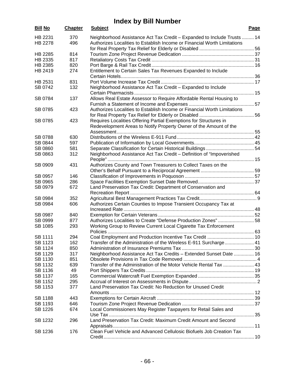# **Index by Bill Number**

| <b>Bill No</b> | <b>Chapter</b> | <b>Subject</b>                                                           | Page |
|----------------|----------------|--------------------------------------------------------------------------|------|
| HB 2231        | 370            | Neighborhood Assistance Act Tax Credit – Expanded to Include Trusts  14  |      |
| <b>HB 2278</b> | 496            | Authorizes Localities to Establish Income or Financial Worth Limitations |      |
|                |                |                                                                          |      |
| HB 2285        | 814            |                                                                          |      |
| HB 2335        | 817            |                                                                          |      |
| HB 2385        | 820            |                                                                          |      |
| HB 2419        | 274            | Entitlement to Certain Sales Tax Revenues Expanded to Include            |      |
|                |                |                                                                          |      |
| HB 2531        | 831            |                                                                          |      |
| SB 0742        | 132            | Neighborhood Assistance Act Tax Credit - Expanded to Include             |      |
|                |                |                                                                          |      |
| SB 0784        | 137            | Allows Real Estate Assessor to Require Affordable Rental Housing to      |      |
|                |                |                                                                          |      |
| SB 0785        | 423            | Authorizes Localities to Establish Income or Financial Worth Limitations |      |
|                |                |                                                                          |      |
| SB 0785        | 423            | Requires Localities Offering Partial Exemptions for Structures in        |      |
|                |                | Redevelopment Areas to Notify Property Owner of the Amount of the        |      |
| SB 0788        | 630            |                                                                          |      |
| SB 0844        | 597            |                                                                          |      |
| SB 0860        | 581            |                                                                          |      |
| SB 0863        | 312            | Neighborhood Assistance Act Tax Credit - Definition of "Impoverished     |      |
|                |                |                                                                          |      |
| SB 0909        | 431            | Authorizes County and Town Treasurers to Collect Taxes on the            |      |
|                |                |                                                                          |      |
| SB 0957        | 146            |                                                                          |      |
| SB 0965        | 286            |                                                                          |      |
| SB 0979        | 672            | Land Preservation Tax Credit: Department of Conservation and             |      |
|                |                |                                                                          |      |
| SB 0984        | 352            |                                                                          |      |
| SB 0984        | 606            | Authorizes Certain Counties to Impose Transient Occupancy Tax at         |      |
|                |                |                                                                          |      |
| SB 0987        | 840            |                                                                          |      |
| SB 0999        | 877            | Authorizes Localities to Create "Defense Production Zones"  58           |      |
| SB 1085        | 293            | Working Group to Review Current Local Cigarette Tax Enforcement          |      |
|                |                |                                                                          |      |
| SB 1111        | 294            |                                                                          |      |
| SB 1123        | 162            | Transfer of the Administration of the Wireless E-911 Surcharge 41        |      |
| SB 1124        | 850            |                                                                          |      |
| SB 1129        | 317            | Neighborhood Assistance Act Tax Credits - Extended Sunset Date  16       |      |
| SB 1130        | 851            |                                                                          |      |
| SB 1132        | 639            | Transfer of the Administration of the Motor Vehicle Rental Tax  43       |      |
| SB 1136        | 49             |                                                                          |      |
| SB 1137        | 165            |                                                                          |      |
| SB 1152        | 295            |                                                                          |      |
| SB 1153        | 377            | Land Preservation Tax Credit: No Reduction for Unused Credit             |      |
|                |                |                                                                          |      |
| SB 1188        | 443            |                                                                          |      |
| SB 1193        | 646            |                                                                          |      |
| SB 1226        | 674            | Local Commissioners May Register Taxpayers for Retail Sales and          |      |
|                |                | Land Preservation Tax Credit: Maximum Credit Amount and Second           | . 35 |
| SB 1232        | 296            |                                                                          |      |
| SB 1236        | 176            | Clean Fuel Vehicle and Advanced Cellulosic Biofuels Job Creation Tax     |      |
|                |                |                                                                          |      |
|                |                |                                                                          |      |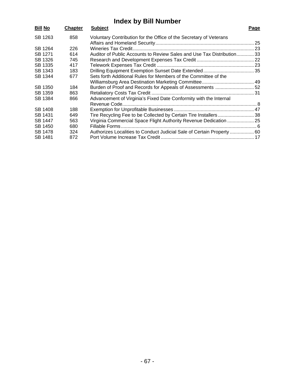# **Index by Bill Number**

| <b>Bill No</b> | <b>Chapter</b> | <b>Subject</b>                                                         | Page |
|----------------|----------------|------------------------------------------------------------------------|------|
| SB 1263        | 858            | Voluntary Contribution for the Office of the Secretary of Veterans     |      |
|                |                |                                                                        |      |
| SB 1264        | 226            |                                                                        |      |
| SB 1271        | 614            | Auditor of Public Accounts to Review Sales and Use Tax Distribution 33 |      |
| SB 1326        | 745            |                                                                        |      |
| SB 1335        | 417            |                                                                        |      |
| SB 1343        | 183            |                                                                        |      |
| SB 1344        | 677            | Sets forth Additional Rules for Members of the Committee of the        |      |
|                |                |                                                                        |      |
| SB 1350        | 184            | Burden of Proof and Records for Appeals of Assessments 52              |      |
| SB 1359        | 863            |                                                                        |      |
| SB 1384        | 866            | Advancement of Virginia's Fixed Date Conformity with the Internal      |      |
|                |                |                                                                        |      |
| SB 1408        | 188            |                                                                        |      |
| SB 1431        | 649            | Tire Recycling Fee to be Collected by Certain Tire Installers38        |      |
| SB 1447        | 563            | Virginia Commercial Space Flight Authority Revenue Dedication  25      |      |
| SB 1450        | 680            |                                                                        |      |
| SB 1478        | 324            | Authorizes Localities to Conduct Judicial Sale of Certain Property  60 |      |
| SB 1481        | 872            |                                                                        |      |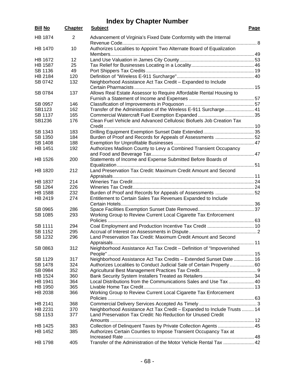## **Index by Chapter Number**

| <b>Bill No</b> | <b>Chapter</b> | <b>Subject</b>                                                          | Page |
|----------------|----------------|-------------------------------------------------------------------------|------|
| <b>HB 1874</b> | $\overline{2}$ | Advancement of Virginia's Fixed Date Conformity with the Internal       |      |
| <b>HB 1470</b> | 10             | Authorizes Localities to Appoint Two Alternate Board of Equalization    |      |
| HB 1672        | 12             |                                                                         |      |
| <b>HB 1587</b> | 25             |                                                                         |      |
| SB 1136        | 49             |                                                                         |      |
|                |                |                                                                         |      |
| HB 2184        | 120            |                                                                         |      |
| SB 0742        | 132            | Neighborhood Assistance Act Tax Credit - Expanded to Include            |      |
| SB 0784        | 137            | Allows Real Estate Assessor to Require Affordable Rental Housing to     |      |
| SB 0957        | 146            |                                                                         |      |
| SB1123         | 162            | Transfer of the Administration of the Wireless E-911 Surcharge 41       |      |
| SB 1137        | 165            |                                                                         |      |
| SB1236         | 176            | Clean Fuel Vehicle and Advanced Cellulosic Biofuels Job Creation Tax    |      |
|                |                |                                                                         |      |
| SB 1343        | 183            |                                                                         |      |
| SB 1350        | 184            | Burden of Proof and Records for Appeals of Assessments 52               |      |
| SB 1408        | 188            |                                                                         |      |
| <b>HB 1451</b> | 192            | Authorizes Madison County to Levy a Combined Transient Occupancy        |      |
| HB 1526        | 200            | Statements of Income and Expense Submitted Before Boards of             |      |
| <b>HB 1820</b> | 212            | Land Preservation Tax Credit: Maximum Credit Amount and Second          |      |
|                |                |                                                                         |      |
| <b>HB 1837</b> | 214            |                                                                         |      |
| SB 1264        | 226            |                                                                         |      |
| <b>HB 1588</b> | 232            | Burden of Proof and Records for Appeals of Assessments 52               |      |
| HB 2419        | 274            | Entitlement to Certain Sales Tax Revenues Expanded to Include           |      |
| SB 0965        | 286            |                                                                         |      |
| SB 1085        | 293            | Working Group to Review Current Local Cigarette Tax Enforcement         |      |
| SB 1111        | 294            |                                                                         |      |
| SB 1152        | 295            |                                                                         |      |
|                |                |                                                                         |      |
| SB 1232        | 296            | Land Preservation Tax Credit: Maximum Credit Amount and Second          |      |
| SB 0863        | 312            | Neighborhood Assistance Act Tax Credit - Definition of "Impoverished    |      |
| SB 1129        | 317            | Neighborhood Assistance Act Tax Credits - Extended Sunset Date  16      |      |
| SB 1478        | 324            | Authorizes Localities to Conduct Judicial Sale of Certain Property  60  |      |
| SB 0984        | 352            |                                                                         |      |
| <b>HB 1524</b> | 360            |                                                                         |      |
| <b>HB 1941</b> | 364            | Local Distributions from the Communications Sales and Use Tax  40       |      |
|                | 365            |                                                                         |      |
| HB 1950        |                |                                                                         |      |
| HB 2038        | 366            | Working Group to Review Current Local Cigarette Tax Enforcement         |      |
| HB 2141        | 368            |                                                                         |      |
| HB 2231        | 370            | Neighborhood Assistance Act Tax Credit - Expanded to Include Trusts  14 |      |
| SB 1153        | 377            | Land Preservation Tax Credit: No Reduction for Unused Credit            |      |
| <b>HB 1425</b> | 383            | Collection of Delinquent Taxes by Private Collection Agents  45         |      |
| <b>HB 1452</b> | 385            | Authorizes Certain Counties to Impose Transient Occupancy Tax at        |      |
|                |                |                                                                         |      |
| HB 1798        | 405            | Transfer of the Administration of the Motor Vehicle Rental Tax  42      |      |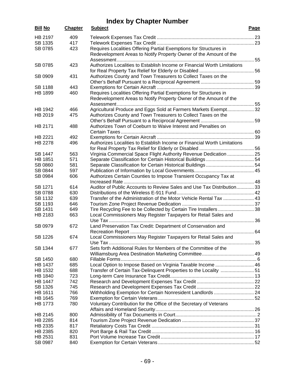## **Index by Chapter Number**

| <b>Bill No</b>     | <b>Chapter</b> | <b>Subject</b>                                                           | Page |
|--------------------|----------------|--------------------------------------------------------------------------|------|
| HB 2197            | 409            |                                                                          |      |
| SB 1335            | 417            |                                                                          |      |
| SB 0785            | 423            | Requires Localities Offering Partial Exemptions for Structures in        |      |
|                    |                | Redevelopment Areas to Notify Property Owner of the Amount of the        |      |
|                    |                |                                                                          |      |
| SB 0785            | 423            | Authorizes Localities to Establish Income or Financial Worth Limitations |      |
|                    |                |                                                                          |      |
| SB 0909            | 431            | Authorizes County and Town Treasurers to Collect Taxes on the            |      |
|                    |                |                                                                          |      |
| SB 1188            | 443            |                                                                          |      |
| HB 1899            | 460            | Requires Localities Offering Partial Exemptions for Structures in        |      |
|                    |                | Redevelopment Areas to Notify Property Owner of the Amount of the        |      |
|                    |                |                                                                          |      |
| HB 1942            | 466            | Agricultural Produce and Eggs Sold at Farmers Markets Exempt32           |      |
| HB 2019            | 475            | Authorizes County and Town Treasurers to Collect Taxes on the            |      |
|                    |                | Authorizes Town of Coeburn to Waive Interest and Penalties on            |      |
| HB 2171            | 488            |                                                                          |      |
| HB 2221            | 492            |                                                                          |      |
| HB 2278            | 496            | Authorizes Localities to Establish Income or Financial Worth Limitations |      |
|                    |                |                                                                          |      |
| <b>SB 1447</b>     | 563            | Virginia Commercial Space Flight Authority Revenue Dedication  25        |      |
| <b>HB 1851</b>     | 571            |                                                                          |      |
| SB 0860            | 581            |                                                                          |      |
| SB 0844            | 597            |                                                                          |      |
| SB 0984            | 606            | Authorizes Certain Counties to Impose Transient Occupancy Tax at         |      |
|                    |                |                                                                          |      |
| SB 1271            | 614            | Auditor of Public Accounts to Review Sales and Use Tax Distribution 33   |      |
| SB 0788            | 630            |                                                                          |      |
| SB 1132            | 639            | Transfer of the Administration of the Motor Vehicle Rental Tax  43       |      |
| SB 1193            | 646            |                                                                          |      |
| SB 1431            | 649            | Tire Recycling Fee to be Collected by Certain Tire Installers38          |      |
| HB 2183            | 663            | Local Commissioners May Register Taxpayers for Retail Sales and          |      |
|                    |                |                                                                          |      |
| SB 0979            | 672            | Land Preservation Tax Credit: Department of Conservation and             |      |
|                    |                |                                                                          |      |
| SB 1226            | 674            | Local Commissioners May Register Taxpayers for Retail Sales and          |      |
|                    |                |                                                                          |      |
| SB 1344            | 677            | Sets forth Additional Rules for Members of the Committee of the          |      |
|                    |                |                                                                          |      |
| SB 1450            | 680            |                                                                          |      |
| <b>HB 1437</b>     | 685            | Local Option to Impose Based on Virginia Taxable Income  46              |      |
| HB 1532            | 688            | Transfer of Certain Tax-Delinquent Properties to the Locality 51         |      |
| <b>HB 1840</b>     | 723            |                                                                          |      |
| <b>HB 1447</b>     | 742<br>745     |                                                                          |      |
| SB 1326<br>HB 1611 | 766            |                                                                          |      |
| HB 1645            | 769            | Withholding Exemption for Certain Nonresident Landlords  24              |      |
| <b>HB 1773</b>     | 780            | Voluntary Contribution for the Office of the Secretary of Veterans       |      |
|                    |                |                                                                          |      |
| HB 2145            | 800            |                                                                          |      |
| HB 2285            | 814            |                                                                          |      |
| HB 2335            | 817            |                                                                          |      |
| HB 2385            | 820            |                                                                          |      |
| HB 2531            | 831            |                                                                          |      |
| SB 0987            | 840            |                                                                          |      |
|                    |                |                                                                          |      |